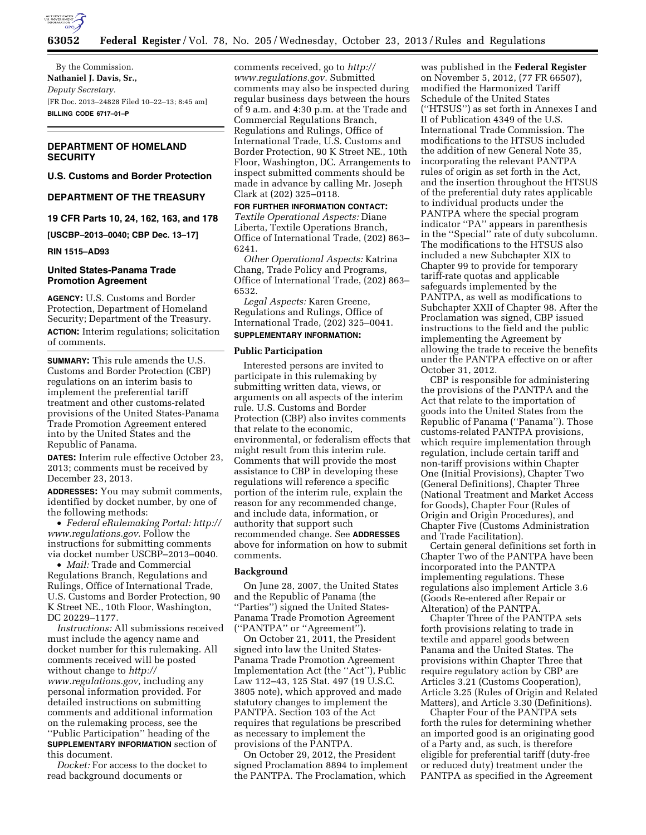

By the Commission. **Nathaniel J. Davis, Sr.,**  *Deputy Secretary.*  [FR Doc. 2013–24828 Filed 10–22–13; 8:45 am] **BILLING CODE 6717–01–P** 

# **DEPARTMENT OF HOMELAND SECURITY**

**U.S. Customs and Border Protection** 

# **DEPARTMENT OF THE TREASURY**

**19 CFR Parts 10, 24, 162, 163, and 178** 

**[USCBP–2013–0040; CBP Dec. 13–17]** 

**RIN 1515–AD93** 

# **United States-Panama Trade Promotion Agreement**

**AGENCY:** U.S. Customs and Border Protection, Department of Homeland Security; Department of the Treasury. **ACTION:** Interim regulations; solicitation of comments.

**SUMMARY:** This rule amends the U.S. Customs and Border Protection (CBP) regulations on an interim basis to implement the preferential tariff treatment and other customs-related provisions of the United States-Panama Trade Promotion Agreement entered into by the United States and the Republic of Panama.

**DATES:** Interim rule effective October 23, 2013; comments must be received by December 23, 2013.

**ADDRESSES:** You may submit comments, identified by docket number, by one of the following methods:

• *Federal eRulemaking Portal: [http://](http://www.regulations.gov)  [www.regulations.gov.](http://www.regulations.gov)* Follow the instructions for submitting comments via docket number USCBP–2013–0040.

• *Mail:* Trade and Commercial Regulations Branch, Regulations and Rulings, Office of International Trade, U.S. Customs and Border Protection, 90 K Street NE., 10th Floor, Washington, DC 20229–1177.

*Instructions:* All submissions received must include the agency name and docket number for this rulemaking. All comments received will be posted without change to *[http://](http://www.regulations.gov) [www.regulations.gov,](http://www.regulations.gov)* including any personal information provided. For detailed instructions on submitting comments and additional information on the rulemaking process, see the ''Public Participation'' heading of the **SUPPLEMENTARY INFORMATION** section of this document.

*Docket:* For access to the docket to read background documents or

comments received, go to *[http://](http://www.regulations.gov) [www.regulations.gov.](http://www.regulations.gov)* Submitted comments may also be inspected during regular business days between the hours of 9 a.m. and 4:30 p.m. at the Trade and Commercial Regulations Branch, Regulations and Rulings, Office of International Trade, U.S. Customs and Border Protection, 90 K Street NE., 10th Floor, Washington, DC. Arrangements to inspect submitted comments should be made in advance by calling Mr. Joseph Clark at (202) 325–0118.

**FOR FURTHER INFORMATION CONTACT:**  *Textile Operational Aspects:* Diane Liberta, Textile Operations Branch, Office of International Trade, (202) 863– 6241.

*Other Operational Aspects:* Katrina Chang, Trade Policy and Programs, Office of International Trade, (202) 863– 6532.

*Legal Aspects:* Karen Greene, Regulations and Rulings, Office of International Trade, (202) 325–0041. **SUPPLEMENTARY INFORMATION:** 

# **Public Participation**

Interested persons are invited to participate in this rulemaking by submitting written data, views, or arguments on all aspects of the interim rule. U.S. Customs and Border Protection (CBP) also invites comments that relate to the economic, environmental, or federalism effects that might result from this interim rule. Comments that will provide the most assistance to CBP in developing these regulations will reference a specific portion of the interim rule, explain the reason for any recommended change, and include data, information, or authority that support such recommended change. See **ADDRESSES** above for information on how to submit comments.

# **Background**

On June 28, 2007, the United States and the Republic of Panama (the ''Parties'') signed the United States-Panama Trade Promotion Agreement (''PANTPA'' or ''Agreement'').

On October 21, 2011, the President signed into law the United States-Panama Trade Promotion Agreement Implementation Act (the ''Act''), Public Law 112–43, 125 Stat. 497 (19 U.S.C. 3805 note), which approved and made statutory changes to implement the PANTPA. Section 103 of the Act requires that regulations be prescribed as necessary to implement the provisions of the PANTPA.

On October 29, 2012, the President signed Proclamation 8894 to implement the PANTPA. The Proclamation, which

was published in the **Federal Register**  on November 5, 2012, (77 FR 66507), modified the Harmonized Tariff Schedule of the United States (''HTSUS'') as set forth in Annexes I and II of Publication 4349 of the U.S. International Trade Commission. The modifications to the HTSUS included the addition of new General Note 35, incorporating the relevant PANTPA rules of origin as set forth in the Act, and the insertion throughout the HTSUS of the preferential duty rates applicable to individual products under the PANTPA where the special program indicator ''PA'' appears in parenthesis in the ''Special'' rate of duty subcolumn. The modifications to the HTSUS also included a new Subchapter XIX to Chapter 99 to provide for temporary tariff-rate quotas and applicable safeguards implemented by the PANTPA, as well as modifications to Subchapter XXII of Chapter 98. After the Proclamation was signed, CBP issued instructions to the field and the public implementing the Agreement by allowing the trade to receive the benefits under the PANTPA effective on or after October 31, 2012.

CBP is responsible for administering the provisions of the PANTPA and the Act that relate to the importation of goods into the United States from the Republic of Panama (''Panama''). Those customs-related PANTPA provisions, which require implementation through regulation, include certain tariff and non-tariff provisions within Chapter One (Initial Provisions), Chapter Two (General Definitions), Chapter Three (National Treatment and Market Access for Goods), Chapter Four (Rules of Origin and Origin Procedures), and Chapter Five (Customs Administration and Trade Facilitation).

Certain general definitions set forth in Chapter Two of the PANTPA have been incorporated into the PANTPA implementing regulations. These regulations also implement Article 3.6 (Goods Re-entered after Repair or Alteration) of the PANTPA.

Chapter Three of the PANTPA sets forth provisions relating to trade in textile and apparel goods between Panama and the United States. The provisions within Chapter Three that require regulatory action by CBP are Articles 3.21 (Customs Cooperation), Article 3.25 (Rules of Origin and Related Matters), and Article 3.30 (Definitions).

Chapter Four of the PANTPA sets forth the rules for determining whether an imported good is an originating good of a Party and, as such, is therefore eligible for preferential tariff (duty-free or reduced duty) treatment under the PANTPA as specified in the Agreement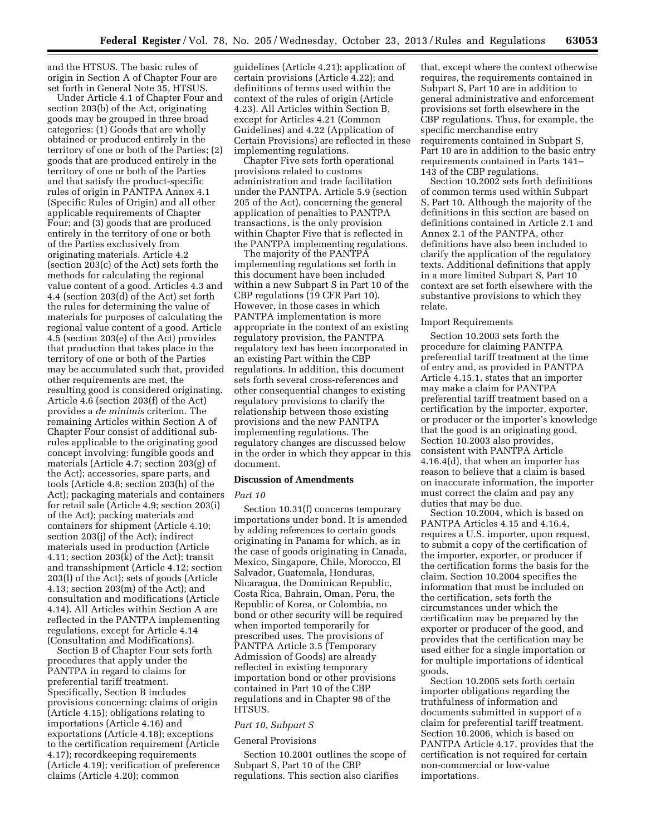and the HTSUS. The basic rules of origin in Section A of Chapter Four are set forth in General Note 35, HTSUS.

Under Article 4.1 of Chapter Four and section 203(b) of the Act, originating goods may be grouped in three broad categories: (1) Goods that are wholly obtained or produced entirely in the territory of one or both of the Parties; (2) goods that are produced entirely in the territory of one or both of the Parties and that satisfy the product-specific rules of origin in PANTPA Annex 4.1 (Specific Rules of Origin) and all other applicable requirements of Chapter Four; and (3) goods that are produced entirely in the territory of one or both of the Parties exclusively from originating materials. Article 4.2 (section 203(c) of the Act) sets forth the methods for calculating the regional value content of a good. Articles 4.3 and 4.4 (section 203(d) of the Act) set forth the rules for determining the value of materials for purposes of calculating the regional value content of a good. Article 4.5 (section 203(e) of the Act) provides that production that takes place in the territory of one or both of the Parties may be accumulated such that, provided other requirements are met, the resulting good is considered originating. Article 4.6 (section 203(f) of the Act) provides a *de minimis* criterion. The remaining Articles within Section A of Chapter Four consist of additional subrules applicable to the originating good concept involving: fungible goods and materials (Article 4.7; section 203(g) of the Act); accessories, spare parts, and tools (Article 4.8; section 203(h) of the Act); packaging materials and containers for retail sale (Article 4.9; section 203(i) of the Act); packing materials and containers for shipment (Article 4.10; section 203(j) of the Act); indirect materials used in production (Article 4.11; section 203(k) of the Act); transit and transshipment (Article 4.12; section 203(l) of the Act); sets of goods (Article 4.13; section 203(m) of the Act); and consultation and modifications (Article 4.14). All Articles within Section A are reflected in the PANTPA implementing regulations, except for Article 4.14 (Consultation and Modifications).

Section B of Chapter Four sets forth procedures that apply under the PANTPA in regard to claims for preferential tariff treatment. Specifically, Section B includes provisions concerning: claims of origin (Article 4.15); obligations relating to importations (Article 4.16) and exportations (Article 4.18); exceptions to the certification requirement (Article 4.17); recordkeeping requirements (Article 4.19); verification of preference claims (Article 4.20); common

guidelines (Article 4.21); application of certain provisions (Article 4.22); and definitions of terms used within the context of the rules of origin (Article 4.23). All Articles within Section B, except for Articles 4.21 (Common Guidelines) and 4.22 (Application of Certain Provisions) are reflected in these implementing regulations.

Chapter Five sets forth operational provisions related to customs administration and trade facilitation under the PANTPA. Article 5.9 (section 205 of the Act), concerning the general application of penalties to PANTPA transactions, is the only provision within Chapter Five that is reflected in the PANTPA implementing regulations.

The majority of the PANTPA implementing regulations set forth in this document have been included within a new Subpart S in Part 10 of the CBP regulations (19 CFR Part 10). However, in those cases in which PANTPA implementation is more appropriate in the context of an existing regulatory provision, the PANTPA regulatory text has been incorporated in an existing Part within the CBP regulations. In addition, this document sets forth several cross-references and other consequential changes to existing regulatory provisions to clarify the relationship between those existing provisions and the new PANTPA implementing regulations. The regulatory changes are discussed below in the order in which they appear in this document.

### **Discussion of Amendments**

### *Part 10*

Section 10.31(f) concerns temporary importations under bond. It is amended by adding references to certain goods originating in Panama for which, as in the case of goods originating in Canada, Mexico, Singapore, Chile, Morocco, El Salvador, Guatemala, Honduras, Nicaragua, the Dominican Republic, Costa Rica, Bahrain, Oman, Peru, the Republic of Korea, or Colombia, no bond or other security will be required when imported temporarily for prescribed uses. The provisions of PANTPA Article 3.5 (Temporary Admission of Goods) are already reflected in existing temporary importation bond or other provisions contained in Part 10 of the CBP regulations and in Chapter 98 of the HTSUS.

# *Part 10, Subpart S*

### General Provisions

Section 10.2001 outlines the scope of Subpart S, Part 10 of the CBP regulations. This section also clarifies

that, except where the context otherwise requires, the requirements contained in Subpart S, Part 10 are in addition to general administrative and enforcement provisions set forth elsewhere in the CBP regulations. Thus, for example, the specific merchandise entry requirements contained in Subpart S, Part 10 are in addition to the basic entry requirements contained in Parts 141– 143 of the CBP regulations.

Section 10.2002 sets forth definitions of common terms used within Subpart S, Part 10. Although the majority of the definitions in this section are based on definitions contained in Article 2.1 and Annex 2.1 of the PANTPA, other definitions have also been included to clarify the application of the regulatory texts. Additional definitions that apply in a more limited Subpart S, Part 10 context are set forth elsewhere with the substantive provisions to which they relate.

### Import Requirements

Section 10.2003 sets forth the procedure for claiming PANTPA preferential tariff treatment at the time of entry and, as provided in PANTPA Article 4.15.1, states that an importer may make a claim for PANTPA preferential tariff treatment based on a certification by the importer, exporter, or producer or the importer's knowledge that the good is an originating good. Section 10.2003 also provides, consistent with PANTPA Article 4.16.4(d), that when an importer has reason to believe that a claim is based on inaccurate information, the importer must correct the claim and pay any duties that may be due.

Section 10.2004, which is based on PANTPA Articles 4.15 and 4.16.4, requires a U.S. importer, upon request, to submit a copy of the certification of the importer, exporter, or producer if the certification forms the basis for the claim. Section 10.2004 specifies the information that must be included on the certification, sets forth the circumstances under which the certification may be prepared by the exporter or producer of the good, and provides that the certification may be used either for a single importation or for multiple importations of identical goods.

Section 10.2005 sets forth certain importer obligations regarding the truthfulness of information and documents submitted in support of a claim for preferential tariff treatment. Section 10.2006, which is based on PANTPA Article 4.17, provides that the certification is not required for certain non-commercial or low-value importations.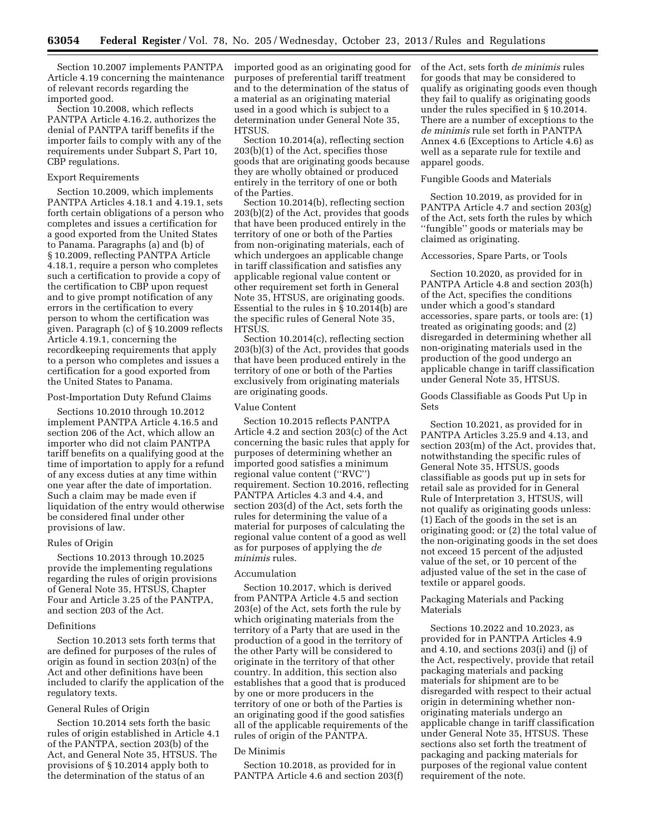Section 10.2007 implements PANTPA Article 4.19 concerning the maintenance of relevant records regarding the imported good.

Section 10.2008, which reflects PANTPA Article 4.16.2, authorizes the denial of PANTPA tariff benefits if the importer fails to comply with any of the requirements under Subpart S, Part 10, CBP regulations.

# Export Requirements

Section 10.2009, which implements PANTPA Articles 4.18.1 and 4.19.1, sets forth certain obligations of a person who completes and issues a certification for a good exported from the United States to Panama. Paragraphs (a) and (b) of § 10.2009, reflecting PANTPA Article 4.18.1, require a person who completes such a certification to provide a copy of the certification to CBP upon request and to give prompt notification of any errors in the certification to every person to whom the certification was given. Paragraph (c) of § 10.2009 reflects Article 4.19.1, concerning the recordkeeping requirements that apply to a person who completes and issues a certification for a good exported from the United States to Panama.

# Post-Importation Duty Refund Claims

Sections 10.2010 through 10.2012 implement PANTPA Article 4.16.5 and section 206 of the Act, which allow an importer who did not claim PANTPA tariff benefits on a qualifying good at the time of importation to apply for a refund of any excess duties at any time within one year after the date of importation. Such a claim may be made even if liquidation of the entry would otherwise be considered final under other provisions of law.

# Rules of Origin

Sections 10.2013 through 10.2025 provide the implementing regulations regarding the rules of origin provisions of General Note 35, HTSUS, Chapter Four and Article 3.25 of the PANTPA, and section 203 of the Act.

# Definitions

Section 10.2013 sets forth terms that are defined for purposes of the rules of origin as found in section 203(n) of the Act and other definitions have been included to clarify the application of the regulatory texts.

# General Rules of Origin

Section 10.2014 sets forth the basic rules of origin established in Article 4.1 of the PANTPA, section 203(b) of the Act, and General Note 35, HTSUS. The provisions of § 10.2014 apply both to the determination of the status of an

imported good as an originating good for purposes of preferential tariff treatment and to the determination of the status of a material as an originating material used in a good which is subject to a determination under General Note 35, HTSUS.

Section 10.2014(a), reflecting section 203(b)(1) of the Act, specifies those goods that are originating goods because they are wholly obtained or produced entirely in the territory of one or both of the Parties.

Section 10.2014(b), reflecting section 203(b)(2) of the Act, provides that goods that have been produced entirely in the territory of one or both of the Parties from non-originating materials, each of which undergoes an applicable change in tariff classification and satisfies any applicable regional value content or other requirement set forth in General Note 35, HTSUS, are originating goods. Essential to the rules in § 10.2014(b) are the specific rules of General Note 35, **HTSUS** 

Section 10.2014(c), reflecting section 203(b)(3) of the Act, provides that goods that have been produced entirely in the territory of one or both of the Parties exclusively from originating materials are originating goods.

### Value Content

Section 10.2015 reflects PANTPA Article 4.2 and section 203(c) of the Act concerning the basic rules that apply for purposes of determining whether an imported good satisfies a minimum regional value content (''RVC'') requirement. Section 10.2016, reflecting PANTPA Articles 4.3 and 4.4, and section 203(d) of the Act, sets forth the rules for determining the value of a material for purposes of calculating the regional value content of a good as well as for purposes of applying the *de minimis* rules.

# Accumulation

Section 10.2017, which is derived from PANTPA Article 4.5 and section 203(e) of the Act, sets forth the rule by which originating materials from the territory of a Party that are used in the production of a good in the territory of the other Party will be considered to originate in the territory of that other country. In addition, this section also establishes that a good that is produced by one or more producers in the territory of one or both of the Parties is an originating good if the good satisfies all of the applicable requirements of the rules of origin of the PANTPA.

### De Minimis

Section 10.2018, as provided for in PANTPA Article 4.6 and section 203(f) of the Act, sets forth *de minimis* rules for goods that may be considered to qualify as originating goods even though they fail to qualify as originating goods under the rules specified in § 10.2014. There are a number of exceptions to the *de minimis* rule set forth in PANTPA Annex 4.6 (Exceptions to Article 4.6) as well as a separate rule for textile and apparel goods.

# Fungible Goods and Materials

Section 10.2019, as provided for in PANTPA Article 4.7 and section 203(g) of the Act, sets forth the rules by which ''fungible'' goods or materials may be claimed as originating.

# Accessories, Spare Parts, or Tools

Section 10.2020, as provided for in PANTPA Article 4.8 and section 203(h) of the Act, specifies the conditions under which a good's standard accessories, spare parts, or tools are: (1) treated as originating goods; and (2) disregarded in determining whether all non-originating materials used in the production of the good undergo an applicable change in tariff classification under General Note 35, HTSUS.

# Goods Classifiable as Goods Put Up in Sets

Section 10.2021, as provided for in PANTPA Articles 3.25.9 and 4.13, and section 203(m) of the Act, provides that, notwithstanding the specific rules of General Note 35, HTSUS, goods classifiable as goods put up in sets for retail sale as provided for in General Rule of Interpretation 3, HTSUS, will not qualify as originating goods unless: (1) Each of the goods in the set is an originating good; or (2) the total value of the non-originating goods in the set does not exceed 15 percent of the adjusted value of the set, or 10 percent of the adjusted value of the set in the case of textile or apparel goods.

# Packaging Materials and Packing Materials

Sections 10.2022 and 10.2023, as provided for in PANTPA Articles 4.9 and 4.10, and sections 203(i) and (j) of the Act, respectively, provide that retail packaging materials and packing materials for shipment are to be disregarded with respect to their actual origin in determining whether nonoriginating materials undergo an applicable change in tariff classification under General Note 35, HTSUS. These sections also set forth the treatment of packaging and packing materials for purposes of the regional value content requirement of the note.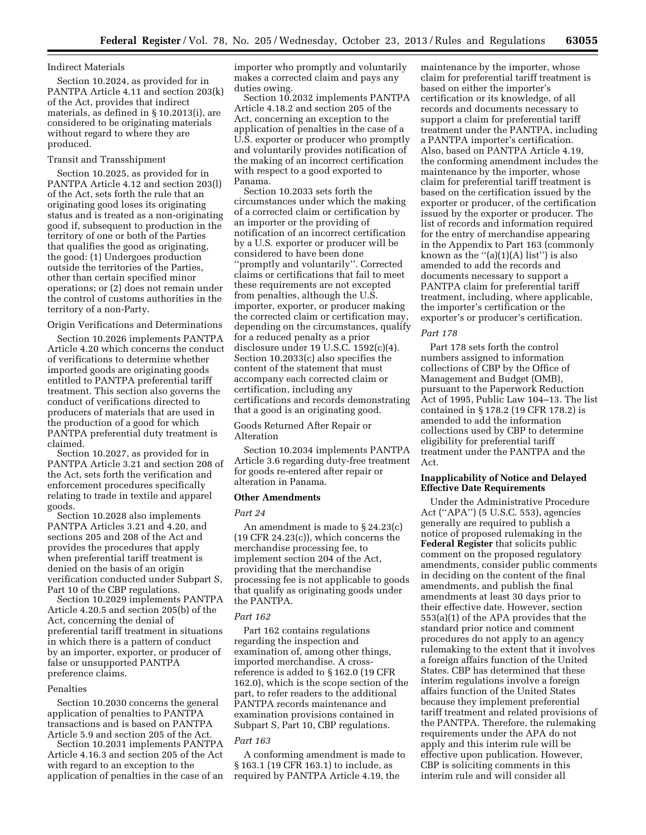# Indirect Materials

Section 10.2024, as provided for in PANTPA Article 4.11 and section 203(k) of the Act, provides that indirect materials, as defined in § 10.2013(i), are considered to be originating materials without regard to where they are produced.

### Transit and Transshipment

Section 10.2025, as provided for in PANTPA Article 4.12 and section 203(l) of the Act, sets forth the rule that an originating good loses its originating status and is treated as a non-originating good if, subsequent to production in the territory of one or both of the Parties that qualifies the good as originating, the good: (1) Undergoes production outside the territories of the Parties, other than certain specified minor operations; or (2) does not remain under the control of customs authorities in the territory of a non-Party.

Origin Verifications and Determinations

Section 10.2026 implements PANTPA Article 4.20 which concerns the conduct of verifications to determine whether imported goods are originating goods entitled to PANTPA preferential tariff treatment. This section also governs the conduct of verifications directed to producers of materials that are used in the production of a good for which PANTPA preferential duty treatment is claimed.

Section 10.2027, as provided for in PANTPA Article 3.21 and section 208 of the Act, sets forth the verification and enforcement procedures specifically relating to trade in textile and apparel goods.

Section 10.2028 also implements PANTPA Articles 3.21 and 4.20, and sections 205 and 208 of the Act and provides the procedures that apply when preferential tariff treatment is denied on the basis of an origin verification conducted under Subpart S, Part 10 of the CBP regulations.

Section 10.2029 implements PANTPA Article 4.20.5 and section 205(b) of the Act, concerning the denial of preferential tariff treatment in situations in which there is a pattern of conduct by an importer, exporter, or producer of false or unsupported PANTPA preference claims.

#### Penalties

Section 10.2030 concerns the general application of penalties to PANTPA transactions and is based on PANTPA Article 5.9 and section 205 of the Act.

Section 10.2031 implements PANTPA Article 4.16.3 and section 205 of the Act with regard to an exception to the application of penalties in the case of an importer who promptly and voluntarily makes a corrected claim and pays any duties owing.

Section 10.2032 implements PANTPA Article 4.18.2 and section 205 of the Act, concerning an exception to the application of penalties in the case of a U.S. exporter or producer who promptly and voluntarily provides notification of the making of an incorrect certification with respect to a good exported to Panama.

Section 10.2033 sets forth the circumstances under which the making of a corrected claim or certification by an importer or the providing of notification of an incorrect certification by a U.S. exporter or producer will be considered to have been done ''promptly and voluntarily''. Corrected claims or certifications that fail to meet these requirements are not excepted from penalties, although the U.S. importer, exporter, or producer making the corrected claim or certification may, depending on the circumstances, qualify for a reduced penalty as a prior disclosure under 19 U.S.C. 1592(c)(4). Section 10.2033(c) also specifies the content of the statement that must accompany each corrected claim or certification, including any certifications and records demonstrating that a good is an originating good.

Goods Returned After Repair or Alteration

Section 10.2034 implements PANTPA Article 3.6 regarding duty-free treatment for goods re-entered after repair or alteration in Panama.

# **Other Amendments**

#### *Part 24*

An amendment is made to § 24.23(c) (19 CFR 24.23(c)), which concerns the merchandise processing fee, to implement section 204 of the Act, providing that the merchandise processing fee is not applicable to goods that qualify as originating goods under the PANTPA.

#### *Part 162*

Part 162 contains regulations regarding the inspection and examination of, among other things, imported merchandise. A crossreference is added to § 162.0 (19 CFR 162.0), which is the scope section of the part, to refer readers to the additional PANTPA records maintenance and examination provisions contained in Subpart S, Part 10, CBP regulations.

# *Part 163*

A conforming amendment is made to § 163.1 (19 CFR 163.1) to include, as required by PANTPA Article 4.19, the

maintenance by the importer, whose claim for preferential tariff treatment is based on either the importer's certification or its knowledge, of all records and documents necessary to support a claim for preferential tariff treatment under the PANTPA, including a PANTPA importer's certification. Also, based on PANTPA Article 4.19, the conforming amendment includes the maintenance by the importer, whose claim for preferential tariff treatment is based on the certification issued by the exporter or producer, of the certification issued by the exporter or producer. The list of records and information required for the entry of merchandise appearing in the Appendix to Part 163 (commonly known as the  $\lq (a)(1)(A)$  list") is also amended to add the records and documents necessary to support a PANTPA claim for preferential tariff treatment, including, where applicable, the importer's certification or the exporter's or producer's certification.

#### *Part 178*

Part 178 sets forth the control numbers assigned to information collections of CBP by the Office of Management and Budget (OMB), pursuant to the Paperwork Reduction Act of 1995, Public Law 104–13. The list contained in § 178.2 (19 CFR 178.2) is amended to add the information collections used by CBP to determine eligibility for preferential tariff treatment under the PANTPA and the Act.

# **Inapplicability of Notice and Delayed Effective Date Requirements**

Under the Administrative Procedure Act (''APA'') (5 U.S.C. 553), agencies generally are required to publish a notice of proposed rulemaking in the **Federal Register** that solicits public comment on the proposed regulatory amendments, consider public comments in deciding on the content of the final amendments, and publish the final amendments at least 30 days prior to their effective date. However, section 553(a)(1) of the APA provides that the standard prior notice and comment procedures do not apply to an agency rulemaking to the extent that it involves a foreign affairs function of the United States. CBP has determined that these interim regulations involve a foreign affairs function of the United States because they implement preferential tariff treatment and related provisions of the PANTPA. Therefore, the rulemaking requirements under the APA do not apply and this interim rule will be effective upon publication. However, CBP is soliciting comments in this interim rule and will consider all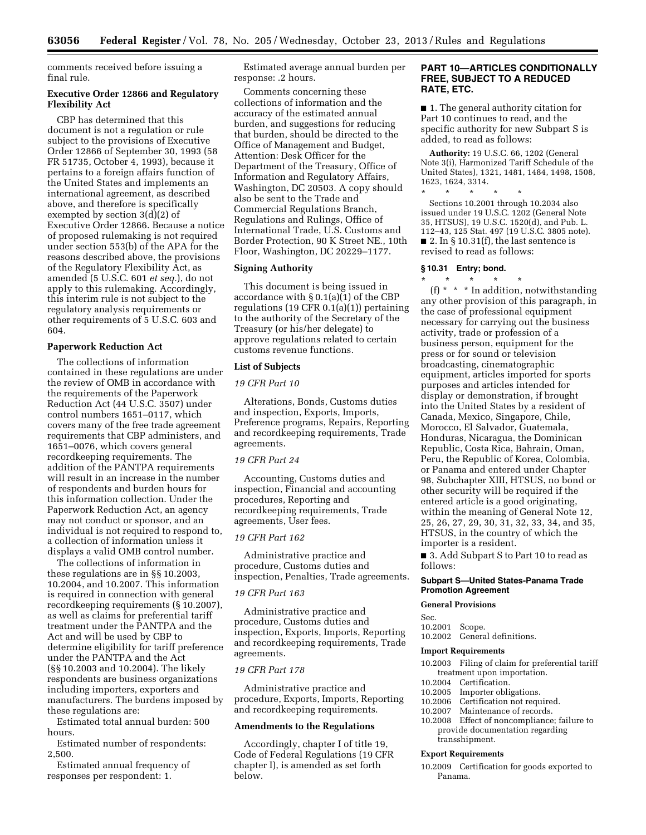comments received before issuing a final rule.

# **Executive Order 12866 and Regulatory Flexibility Act**

CBP has determined that this document is not a regulation or rule subject to the provisions of Executive Order 12866 of September 30, 1993 (58 FR 51735, October 4, 1993), because it pertains to a foreign affairs function of the United States and implements an international agreement, as described above, and therefore is specifically exempted by section  $3(d)(2)$  of Executive Order 12866. Because a notice of proposed rulemaking is not required under section 553(b) of the APA for the reasons described above, the provisions of the Regulatory Flexibility Act, as amended (5 U.S.C. 601 *et seq.*), do not apply to this rulemaking. Accordingly, this interim rule is not subject to the regulatory analysis requirements or other requirements of 5 U.S.C. 603 and 604.

# **Paperwork Reduction Act**

The collections of information contained in these regulations are under the review of OMB in accordance with the requirements of the Paperwork Reduction Act (44 U.S.C. 3507) under control numbers 1651–0117, which covers many of the free trade agreement requirements that CBP administers, and 1651–0076, which covers general recordkeeping requirements. The addition of the PANTPA requirements will result in an increase in the number of respondents and burden hours for this information collection. Under the Paperwork Reduction Act, an agency may not conduct or sponsor, and an individual is not required to respond to, a collection of information unless it displays a valid OMB control number.

The collections of information in these regulations are in §§ 10.2003, 10.2004, and 10.2007. This information is required in connection with general recordkeeping requirements (§ 10.2007), as well as claims for preferential tariff treatment under the PANTPA and the Act and will be used by CBP to determine eligibility for tariff preference under the PANTPA and the Act (§§ 10.2003 and 10.2004). The likely respondents are business organizations including importers, exporters and manufacturers. The burdens imposed by these regulations are:

Estimated total annual burden: 500 hours.

Estimated number of respondents: 2,500.

Estimated annual frequency of responses per respondent: 1.

Estimated average annual burden per response: .2 hours.

Comments concerning these collections of information and the accuracy of the estimated annual burden, and suggestions for reducing that burden, should be directed to the Office of Management and Budget, Attention: Desk Officer for the Department of the Treasury, Office of Information and Regulatory Affairs, Washington, DC 20503. A copy should also be sent to the Trade and Commercial Regulations Branch, Regulations and Rulings, Office of International Trade, U.S. Customs and Border Protection, 90 K Street NE., 10th Floor, Washington, DC 20229–1177.

#### **Signing Authority**

This document is being issued in accordance with § 0.1(a)(1) of the CBP regulations (19 CFR 0.1(a)(1)) pertaining to the authority of the Secretary of the Treasury (or his/her delegate) to approve regulations related to certain customs revenue functions.

### **List of Subjects**

### *19 CFR Part 10*

Alterations, Bonds, Customs duties and inspection, Exports, Imports, Preference programs, Repairs, Reporting and recordkeeping requirements, Trade agreements.

# *19 CFR Part 24*

Accounting, Customs duties and inspection, Financial and accounting procedures, Reporting and recordkeeping requirements, Trade agreements, User fees.

# *19 CFR Part 162*

Administrative practice and procedure, Customs duties and inspection, Penalties, Trade agreements.

### *19 CFR Part 163*

Administrative practice and procedure, Customs duties and inspection, Exports, Imports, Reporting and recordkeeping requirements, Trade agreements.

# *19 CFR Part 178*

Administrative practice and procedure, Exports, Imports, Reporting and recordkeeping requirements.

# **Amendments to the Regulations**

Accordingly, chapter I of title 19, Code of Federal Regulations (19 CFR chapter I), is amended as set forth below.

# **PART 10—ARTICLES CONDITIONALLY FREE, SUBJECT TO A REDUCED RATE, ETC.**

■ 1. The general authority citation for Part 10 continues to read, and the specific authority for new Subpart S is added, to read as follows:

**Authority:** 19 U.S.C. 66, 1202 (General Note 3(i), Harmonized Tariff Schedule of the United States), 1321, 1481, 1484, 1498, 1508, 1623, 1624, 3314.

\* \* \* \* \* Sections 10.2001 through 10.2034 also issued under 19 U.S.C. 1202 (General Note 35, HTSUS), 19 U.S.C. 1520(d), and Pub. L. 112–43, 125 Stat. 497 (19 U.S.C. 3805 note).  $\blacksquare$  2. In § 10.31(f), the last sentence is revised to read as follows:

# **§ 10.31 Entry; bond.**

\* \* \* \* \* (f) \* \* \* In addition, notwithstanding any other provision of this paragraph, in the case of professional equipment necessary for carrying out the business activity, trade or profession of a business person, equipment for the press or for sound or television broadcasting, cinematographic equipment, articles imported for sports purposes and articles intended for display or demonstration, if brought into the United States by a resident of Canada, Mexico, Singapore, Chile, Morocco, El Salvador, Guatemala, Honduras, Nicaragua, the Dominican Republic, Costa Rica, Bahrain, Oman, Peru, the Republic of Korea, Colombia, or Panama and entered under Chapter 98, Subchapter XIII, HTSUS, no bond or other security will be required if the entered article is a good originating, within the meaning of General Note 12, 25, 26, 27, 29, 30, 31, 32, 33, 34, and 35, HTSUS, in the country of which the importer is a resident.

■ 3. Add Subpart S to Part 10 to read as follows:

### **Subpart S—United States-Panama Trade Promotion Agreement**

#### **General Provisions**

Sec.

10.2001 Scope.

# 10.2002 General definitions.

#### **Import Requirements**

- 10.2003 Filing of claim for preferential tariff treatment upon importation.
- 10.2004 Certification.
- 10.2005 Importer obligations.<br>10.2006 Certification not requ
- Certification not required.
- 10.2007 Maintenance of records.
- 10.2008 Effect of noncompliance; failure to provide documentation regarding transshipment.

### **Export Requirements**

10.2009 Certification for goods exported to Panama.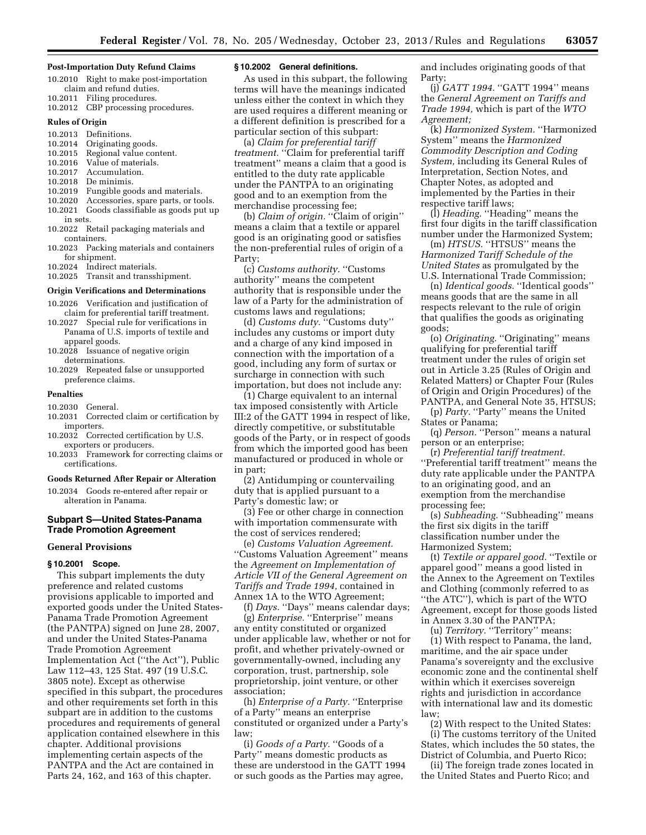#### **Post-Importation Duty Refund Claims**

- 10.2010 Right to make post-importation claim and refund duties.
- 10.2011 Filing procedures. 10.2012 CBP processing procedures.

#### **Rules of Origin**

- 10.2013 Definitions.<br>10.2014 Originating Originating goods.
- 10.2015 Regional value content.
- 10.2016 Value of materials.<br>10.2017 Accumulation.
- Accumulation.
- 10.2018 De minimis.
- 10.2019 Fungible goods and materials.
- 10.2020 Accessories, spare parts, or tools.
- 10.2021 Goods classifiable as goods put up in sets.
- 10.2022 Retail packaging materials and containers.
- 10.2023 Packing materials and containers for shipment.
- 10.2024 Indirect materials.
- 10.2025 Transit and transshipment.

# **Origin Verifications and Determinations**

- 10.2026 Verification and justification of claim for preferential tariff treatment.
- 10.2027 Special rule for verifications in Panama of U.S. imports of textile and apparel goods.
- 10.2028 Issuance of negative origin determinations.
- 10.2029 Repeated false or unsupported preference claims.

#### **Penalties**

- 10.2030 General.
- 10.2031 Corrected claim or certification by importers.
- 10.2032 Corrected certification by U.S. exporters or producers.
- 10.2033 Framework for correcting claims or certifications.

# **Goods Returned After Repair or Alteration**

10.2034 Goods re-entered after repair or alteration in Panama.

# **Subpart S—United States-Panama Trade Promotion Agreement**

#### **General Provisions**

#### **§ 10.2001 Scope.**

This subpart implements the duty preference and related customs provisions applicable to imported and exported goods under the United States-Panama Trade Promotion Agreement (the PANTPA) signed on June 28, 2007, and under the United States-Panama Trade Promotion Agreement Implementation Act (''the Act''), Public Law 112–43, 125 Stat. 497 (19 U.S.C. 3805 note). Except as otherwise specified in this subpart, the procedures and other requirements set forth in this subpart are in addition to the customs procedures and requirements of general application contained elsewhere in this chapter. Additional provisions implementing certain aspects of the PANTPA and the Act are contained in Parts 24, 162, and 163 of this chapter.

# **§ 10.2002 General definitions.**

As used in this subpart, the following terms will have the meanings indicated unless either the context in which they are used requires a different meaning or a different definition is prescribed for a particular section of this subpart:

(a) *Claim for preferential tariff treatment.* ''Claim for preferential tariff treatment'' means a claim that a good is entitled to the duty rate applicable under the PANTPA to an originating good and to an exemption from the merchandise processing fee;

(b) *Claim of origin.* ''Claim of origin'' means a claim that a textile or apparel good is an originating good or satisfies the non-preferential rules of origin of a Party;

(c) *Customs authority.* ''Customs authority'' means the competent authority that is responsible under the law of a Party for the administration of customs laws and regulations;

(d) *Customs duty.* ''Customs duty'' includes any customs or import duty and a charge of any kind imposed in connection with the importation of a good, including any form of surtax or surcharge in connection with such importation, but does not include any:

(1) Charge equivalent to an internal tax imposed consistently with Article III:2 of the GATT 1994 in respect of like, directly competitive, or substitutable goods of the Party, or in respect of goods from which the imported good has been manufactured or produced in whole or in part;

(2) Antidumping or countervailing duty that is applied pursuant to a Party's domestic law; or

(3) Fee or other charge in connection with importation commensurate with the cost of services rendered;

(e) *Customs Valuation Agreement.*  ''Customs Valuation Agreement'' means the *Agreement on Implementation of Article VII of the General Agreement on Tariffs and Trade 1994,* contained in Annex 1A to the WTO Agreement;

(f) *Days.* ''Days'' means calendar days; (g) *Enterprise.* ''Enterprise'' means any entity constituted or organized under applicable law, whether or not for profit, and whether privately-owned or governmentally-owned, including any corporation, trust, partnership, sole proprietorship, joint venture, or other association;

(h) *Enterprise of a Party.* ''Enterprise of a Party'' means an enterprise constituted or organized under a Party's law;

(i) *Goods of a Party.* ''Goods of a Party'' means domestic products as these are understood in the GATT 1994 or such goods as the Parties may agree,

and includes originating goods of that Party;

(j) *GATT 1994.* "GATT 1994" means the *General Agreement on Tariffs and Trade 1994,* which is part of the *WTO Agreement;* 

(k) *Harmonized System.* ''Harmonized System'' means the *Harmonized Commodity Description and Coding System,* including its General Rules of Interpretation, Section Notes, and Chapter Notes, as adopted and implemented by the Parties in their respective tariff laws;

(l) *Heading.* ''Heading'' means the first four digits in the tariff classification number under the Harmonized System;

(m) *HTSUS*. "HTSUS" means the *Harmonized Tariff Schedule of the United States* as promulgated by the U.S. International Trade Commission;

(n) *Identical goods.* ''Identical goods'' means goods that are the same in all respects relevant to the rule of origin that qualifies the goods as originating goods;

(o) *Originating.* ''Originating'' means qualifying for preferential tariff treatment under the rules of origin set out in Article 3.25 (Rules of Origin and Related Matters) or Chapter Four (Rules of Origin and Origin Procedures) of the PANTPA, and General Note 35, HTSUS;

(p) *Party.* "Party" means the United States or Panama;

(q) *Person.* "Person" means a natural person or an enterprise;

(r) *Preferential tariff treatment.*  ''Preferential tariff treatment'' means the duty rate applicable under the PANTPA to an originating good, and an exemption from the merchandise processing fee;

(s) *Subheading.* ''Subheading'' means the first six digits in the tariff classification number under the Harmonized System;

(t) *Textile or apparel good.* ''Textile or apparel good'' means a good listed in the Annex to the Agreement on Textiles and Clothing (commonly referred to as ''the ATC''), which is part of the WTO Agreement, except for those goods listed in Annex 3.30 of the PANTPA;

(u) *Territory.* ''Territory'' means:

(1) With respect to Panama, the land, maritime, and the air space under Panama's sovereignty and the exclusive economic zone and the continental shelf within which it exercises sovereign rights and jurisdiction in accordance with international law and its domestic law;

(2) With respect to the United States:

(i) The customs territory of the United States, which includes the 50 states, the District of Columbia, and Puerto Rico;

(ii) The foreign trade zones located in the United States and Puerto Rico; and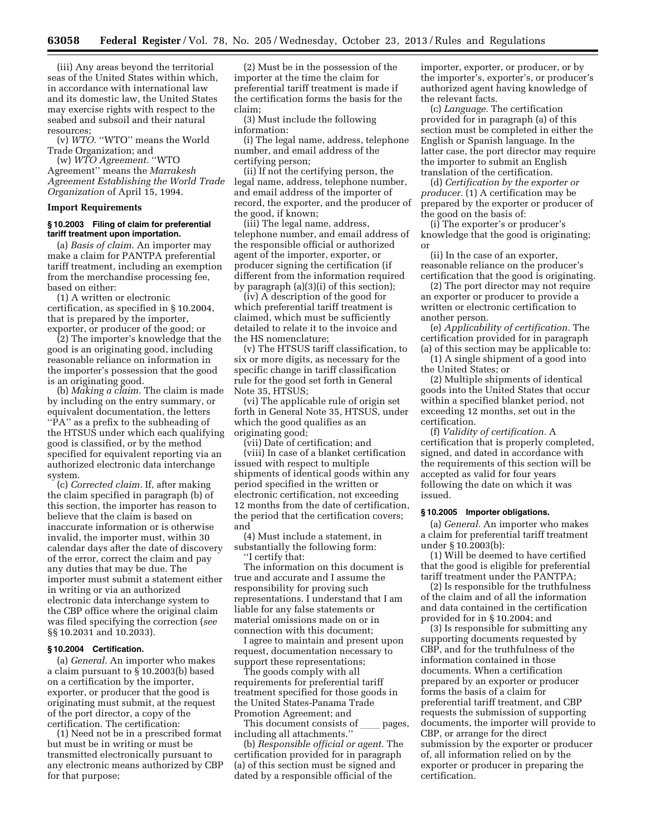(iii) Any areas beyond the territorial seas of the United States within which, in accordance with international law and its domestic law, the United States may exercise rights with respect to the seabed and subsoil and their natural resources;

(v) *WTO.* ''WTO'' means the World Trade Organization; and

(w) *WTO Agreement.* ''WTO Agreement'' means the *Marrakesh Agreement Establishing the World Trade Organization* of April 15, 1994.

# **Import Requirements**

# **§ 10.2003 Filing of claim for preferential tariff treatment upon importation.**

(a) *Basis of claim.* An importer may make a claim for PANTPA preferential tariff treatment, including an exemption from the merchandise processing fee, based on either:

(1) A written or electronic certification, as specified in § 10.2004, that is prepared by the importer, exporter, or producer of the good; or

(2) The importer's knowledge that the good is an originating good, including reasonable reliance on information in the importer's possession that the good is an originating good.

(b) *Making a claim.* The claim is made by including on the entry summary, or equivalent documentation, the letters "PA" as a prefix to the subheading of the HTSUS under which each qualifying good is classified, or by the method specified for equivalent reporting via an authorized electronic data interchange system.

(c) *Corrected claim.* If, after making the claim specified in paragraph (b) of this section, the importer has reason to believe that the claim is based on inaccurate information or is otherwise invalid, the importer must, within 30 calendar days after the date of discovery of the error, correct the claim and pay any duties that may be due. The importer must submit a statement either in writing or via an authorized electronic data interchange system to the CBP office where the original claim was filed specifying the correction (*see*  §§ 10.2031 and 10.2033).

# **§ 10.2004 Certification.**

(a) *General.* An importer who makes a claim pursuant to § 10.2003(b) based on a certification by the importer, exporter, or producer that the good is originating must submit, at the request of the port director, a copy of the certification. The certification:

(1) Need not be in a prescribed format but must be in writing or must be transmitted electronically pursuant to any electronic means authorized by CBP for that purpose;

(2) Must be in the possession of the importer at the time the claim for preferential tariff treatment is made if the certification forms the basis for the claim;

(3) Must include the following information:

(i) The legal name, address, telephone number, and email address of the certifying person;

(ii) If not the certifying person, the legal name, address, telephone number, and email address of the importer of record, the exporter, and the producer of the good, if known;

(iii) The legal name, address, telephone number, and email address of the responsible official or authorized agent of the importer, exporter, or producer signing the certification (if different from the information required by paragraph (a)(3)(i) of this section);

(iv) A description of the good for which preferential tariff treatment is claimed, which must be sufficiently detailed to relate it to the invoice and the HS nomenclature;

(v) The HTSUS tariff classification, to six or more digits, as necessary for the specific change in tariff classification rule for the good set forth in General Note 35, HTSUS;

(vi) The applicable rule of origin set forth in General Note 35, HTSUS, under which the good qualifies as an originating good;

(vii) Date of certification; and (viii) In case of a blanket certification issued with respect to multiple shipments of identical goods within any period specified in the written or electronic certification, not exceeding 12 months from the date of certification, the period that the certification covers; and

(4) Must include a statement, in substantially the following form: ''I certify that:

The information on this document is true and accurate and I assume the responsibility for proving such representations. I understand that I am liable for any false statements or material omissions made on or in connection with this document;

I agree to maintain and present upon request, documentation necessary to support these representations;

The goods comply with all requirements for preferential tariff treatment specified for those goods in the United States-Panama Trade Promotion Agreement; and

This document consists of pages, including all attachments.''

(b) *Responsible official or agent.* The certification provided for in paragraph (a) of this section must be signed and dated by a responsible official of the

importer, exporter, or producer, or by the importer's, exporter's, or producer's authorized agent having knowledge of the relevant facts.

(c) *Language.* The certification provided for in paragraph (a) of this section must be completed in either the English or Spanish language. In the latter case, the port director may require the importer to submit an English translation of the certification.

(d) *Certification by the exporter or producer.* (1) A certification may be prepared by the exporter or producer of the good on the basis of:

(i) The exporter's or producer's knowledge that the good is originating; or

(ii) In the case of an exporter, reasonable reliance on the producer's certification that the good is originating.

(2) The port director may not require an exporter or producer to provide a written or electronic certification to another person.

(e) *Applicability of certification.* The certification provided for in paragraph (a) of this section may be applicable to:

(1) A single shipment of a good into the United States; or

(2) Multiple shipments of identical goods into the United States that occur within a specified blanket period, not exceeding 12 months, set out in the certification.

(f) *Validity of certification.* A certification that is properly completed, signed, and dated in accordance with the requirements of this section will be accepted as valid for four years following the date on which it was issued.

# **§ 10.2005 Importer obligations.**

(a) *General.* An importer who makes a claim for preferential tariff treatment under § 10.2003(b):

(1) Will be deemed to have certified that the good is eligible for preferential tariff treatment under the PANTPA;

(2) Is responsible for the truthfulness of the claim and of all the information and data contained in the certification provided for in § 10.2004; and

(3) Is responsible for submitting any supporting documents requested by CBP, and for the truthfulness of the information contained in those documents. When a certification prepared by an exporter or producer forms the basis of a claim for preferential tariff treatment, and CBP requests the submission of supporting documents, the importer will provide to CBP, or arrange for the direct submission by the exporter or producer of, all information relied on by the exporter or producer in preparing the certification.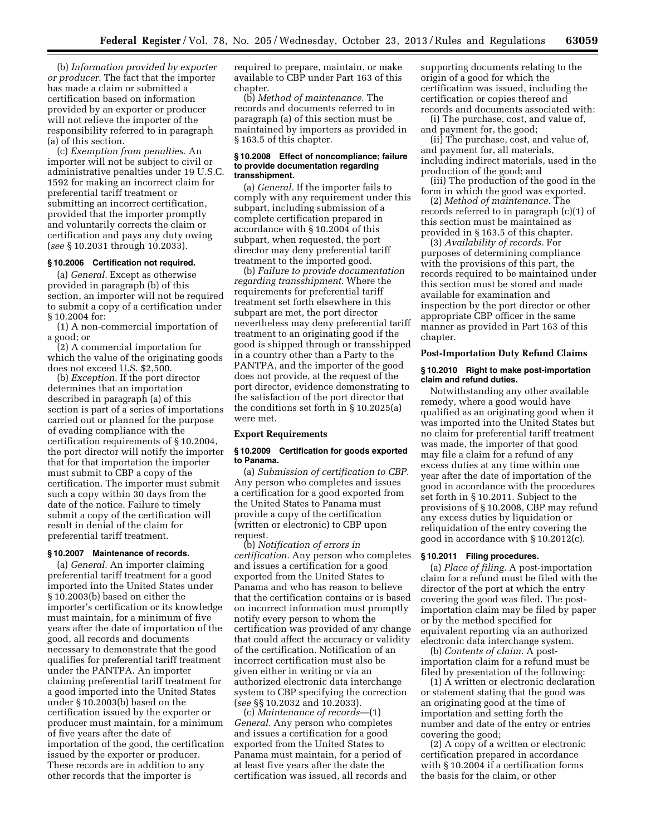(b) *Information provided by exporter or producer.* The fact that the importer has made a claim or submitted a certification based on information provided by an exporter or producer will not relieve the importer of the responsibility referred to in paragraph (a) of this section.

(c) *Exemption from penalties.* An importer will not be subject to civil or administrative penalties under 19 U.S.C. 1592 for making an incorrect claim for preferential tariff treatment or submitting an incorrect certification, provided that the importer promptly and voluntarily corrects the claim or certification and pays any duty owing (*see* § 10.2031 through 10.2033).

# **§ 10.2006 Certification not required.**

(a) *General.* Except as otherwise provided in paragraph (b) of this section, an importer will not be required to submit a copy of a certification under § 10.2004 for:

(1) A non-commercial importation of a good; or

(2) A commercial importation for which the value of the originating goods does not exceed U.S. \$2,500.

(b) *Exception.* If the port director determines that an importation described in paragraph (a) of this section is part of a series of importations carried out or planned for the purpose of evading compliance with the certification requirements of § 10.2004, the port director will notify the importer that for that importation the importer must submit to CBP a copy of the certification. The importer must submit such a copy within 30 days from the date of the notice. Failure to timely submit a copy of the certification will result in denial of the claim for preferential tariff treatment.

### **§ 10.2007 Maintenance of records.**

(a) *General.* An importer claiming preferential tariff treatment for a good imported into the United States under § 10.2003(b) based on either the importer's certification or its knowledge must maintain, for a minimum of five years after the date of importation of the good, all records and documents necessary to demonstrate that the good qualifies for preferential tariff treatment under the PANTPA. An importer claiming preferential tariff treatment for a good imported into the United States under § 10.2003(b) based on the certification issued by the exporter or producer must maintain, for a minimum of five years after the date of importation of the good, the certification issued by the exporter or producer. These records are in addition to any other records that the importer is

required to prepare, maintain, or make available to CBP under Part 163 of this chapter.

(b) *Method of maintenance.* The records and documents referred to in paragraph (a) of this section must be maintained by importers as provided in § 163.5 of this chapter.

### **§ 10.2008 Effect of noncompliance; failure to provide documentation regarding transshipment.**

(a) *General.* If the importer fails to comply with any requirement under this subpart, including submission of a complete certification prepared in accordance with § 10.2004 of this subpart, when requested, the port director may deny preferential tariff treatment to the imported good.

(b) *Failure to provide documentation regarding transshipment.* Where the requirements for preferential tariff treatment set forth elsewhere in this subpart are met, the port director nevertheless may deny preferential tariff treatment to an originating good if the good is shipped through or transshipped in a country other than a Party to the PANTPA, and the importer of the good does not provide, at the request of the port director, evidence demonstrating to the satisfaction of the port director that the conditions set forth in § 10.2025(a) were met.

### **Export Requirements**

### **§ 10.2009 Certification for goods exported to Panama.**

(a) *Submission of certification to CBP.*  Any person who completes and issues a certification for a good exported from the United States to Panama must provide a copy of the certification (written or electronic) to CBP upon request.

(b) *Notification of errors in certification.* Any person who completes and issues a certification for a good exported from the United States to Panama and who has reason to believe that the certification contains or is based on incorrect information must promptly notify every person to whom the certification was provided of any change that could affect the accuracy or validity of the certification. Notification of an incorrect certification must also be given either in writing or via an authorized electronic data interchange system to CBP specifying the correction (*see* §§ 10.2032 and 10.2033).

(c) *Maintenance of records*—(1) *General.* Any person who completes and issues a certification for a good exported from the United States to Panama must maintain, for a period of at least five years after the date the certification was issued, all records and supporting documents relating to the origin of a good for which the certification was issued, including the certification or copies thereof and records and documents associated with:

(i) The purchase, cost, and value of, and payment for, the good;

(ii) The purchase, cost, and value of, and payment for, all materials, including indirect materials, used in the production of the good; and

(iii) The production of the good in the form in which the good was exported.

(2) *Method of maintenance.* The records referred to in paragraph (c)(1) of this section must be maintained as provided in § 163.5 of this chapter.

(3) *Availability of records.* For purposes of determining compliance with the provisions of this part, the records required to be maintained under this section must be stored and made available for examination and inspection by the port director or other appropriate CBP officer in the same manner as provided in Part 163 of this chapter.

### **Post-Importation Duty Refund Claims**

### **§ 10.2010 Right to make post-importation claim and refund duties.**

Notwithstanding any other available remedy, where a good would have qualified as an originating good when it was imported into the United States but no claim for preferential tariff treatment was made, the importer of that good may file a claim for a refund of any excess duties at any time within one year after the date of importation of the good in accordance with the procedures set forth in § 10.2011. Subject to the provisions of § 10.2008, CBP may refund any excess duties by liquidation or reliquidation of the entry covering the good in accordance with § 10.2012(c).

### **§ 10.2011 Filing procedures.**

(a) *Place of filing.* A post-importation claim for a refund must be filed with the director of the port at which the entry covering the good was filed. The postimportation claim may be filed by paper or by the method specified for equivalent reporting via an authorized electronic data interchange system.

(b) *Contents of claim.* A postimportation claim for a refund must be filed by presentation of the following:

(1) A written or electronic declaration or statement stating that the good was an originating good at the time of importation and setting forth the number and date of the entry or entries covering the good;

(2) A copy of a written or electronic certification prepared in accordance with § 10.2004 if a certification forms the basis for the claim, or other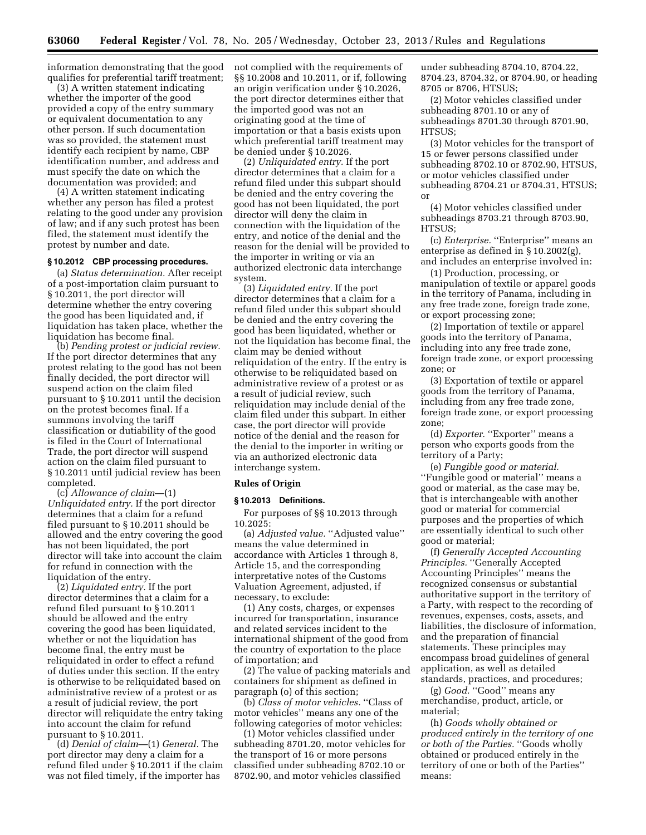information demonstrating that the good qualifies for preferential tariff treatment;

(3) A written statement indicating whether the importer of the good provided a copy of the entry summary or equivalent documentation to any other person. If such documentation was so provided, the statement must identify each recipient by name, CBP identification number, and address and must specify the date on which the documentation was provided; and

(4) A written statement indicating whether any person has filed a protest relating to the good under any provision of law; and if any such protest has been filed, the statement must identify the protest by number and date.

# **§ 10.2012 CBP processing procedures.**

(a) *Status determination.* After receipt of a post-importation claim pursuant to § 10.2011, the port director will determine whether the entry covering the good has been liquidated and, if liquidation has taken place, whether the liquidation has become final.

(b) *Pending protest or judicial review.*  If the port director determines that any protest relating to the good has not been finally decided, the port director will suspend action on the claim filed pursuant to § 10.2011 until the decision on the protest becomes final. If a summons involving the tariff classification or dutiability of the good is filed in the Court of International Trade, the port director will suspend action on the claim filed pursuant to § 10.2011 until judicial review has been completed.

(c) *Allowance of claim*—(1) *Unliquidated entry.* If the port director determines that a claim for a refund filed pursuant to § 10.2011 should be allowed and the entry covering the good has not been liquidated, the port director will take into account the claim for refund in connection with the liquidation of the entry.

(2) *Liquidated entry.* If the port director determines that a claim for a refund filed pursuant to § 10.2011 should be allowed and the entry covering the good has been liquidated, whether or not the liquidation has become final, the entry must be reliquidated in order to effect a refund of duties under this section. If the entry is otherwise to be reliquidated based on administrative review of a protest or as a result of judicial review, the port director will reliquidate the entry taking into account the claim for refund pursuant to § 10.2011.

(d) *Denial of claim*—(1) *General.* The port director may deny a claim for a refund filed under § 10.2011 if the claim was not filed timely, if the importer has

not complied with the requirements of §§ 10.2008 and 10.2011, or if, following an origin verification under § 10.2026, the port director determines either that the imported good was not an originating good at the time of importation or that a basis exists upon which preferential tariff treatment may be denied under § 10.2026.

(2) *Unliquidated entry.* If the port director determines that a claim for a refund filed under this subpart should be denied and the entry covering the good has not been liquidated, the port director will deny the claim in connection with the liquidation of the entry, and notice of the denial and the reason for the denial will be provided to the importer in writing or via an authorized electronic data interchange system.

(3) *Liquidated entry.* If the port director determines that a claim for a refund filed under this subpart should be denied and the entry covering the good has been liquidated, whether or not the liquidation has become final, the claim may be denied without reliquidation of the entry. If the entry is otherwise to be reliquidated based on administrative review of a protest or as a result of judicial review, such reliquidation may include denial of the claim filed under this subpart. In either case, the port director will provide notice of the denial and the reason for the denial to the importer in writing or via an authorized electronic data interchange system.

#### **Rules of Origin**

### **§ 10.2013 Definitions.**

For purposes of §§ 10.2013 through 10.2025:

(a) *Adjusted value.* ''Adjusted value'' means the value determined in accordance with Articles 1 through 8, Article 15, and the corresponding interpretative notes of the Customs Valuation Agreement, adjusted, if necessary, to exclude:

(1) Any costs, charges, or expenses incurred for transportation, insurance and related services incident to the international shipment of the good from the country of exportation to the place of importation; and

(2) The value of packing materials and containers for shipment as defined in paragraph (o) of this section;

(b) *Class of motor vehicles.* ''Class of motor vehicles'' means any one of the following categories of motor vehicles:

(1) Motor vehicles classified under subheading 8701.20, motor vehicles for the transport of 16 or more persons classified under subheading 8702.10 or 8702.90, and motor vehicles classified

under subheading 8704.10, 8704.22, 8704.23, 8704.32, or 8704.90, or heading 8705 or 8706, HTSUS;

(2) Motor vehicles classified under subheading 8701.10 or any of subheadings 8701.30 through 8701.90, HTSUS;

(3) Motor vehicles for the transport of 15 or fewer persons classified under subheading 8702.10 or 8702.90, HTSUS, or motor vehicles classified under subheading 8704.21 or 8704.31, HTSUS; or

(4) Motor vehicles classified under subheadings 8703.21 through 8703.90, HTSUS;

(c) *Enterprise.* ''Enterprise'' means an enterprise as defined in § 10.2002(g), and includes an enterprise involved in:

(1) Production, processing, or manipulation of textile or apparel goods in the territory of Panama, including in any free trade zone, foreign trade zone, or export processing zone;

(2) Importation of textile or apparel goods into the territory of Panama, including into any free trade zone, foreign trade zone, or export processing zone; or

(3) Exportation of textile or apparel goods from the territory of Panama, including from any free trade zone, foreign trade zone, or export processing zone;

(d) *Exporter.* "Exporter" means a person who exports goods from the territory of a Party;

(e) *Fungible good or material.*  ''Fungible good or material'' means a good or material, as the case may be, that is interchangeable with another good or material for commercial purposes and the properties of which are essentially identical to such other good or material;

(f) *Generally Accepted Accounting Principles.* ''Generally Accepted Accounting Principles'' means the recognized consensus or substantial authoritative support in the territory of a Party, with respect to the recording of revenues, expenses, costs, assets, and liabilities, the disclosure of information, and the preparation of financial statements. These principles may encompass broad guidelines of general application, as well as detailed standards, practices, and procedures;

(g) *Good.* "Good" means any merchandise, product, article, or material;

(h) *Goods wholly obtained or produced entirely in the territory of one or both of the Parties.* ''Goods wholly obtained or produced entirely in the territory of one or both of the Parties'' means: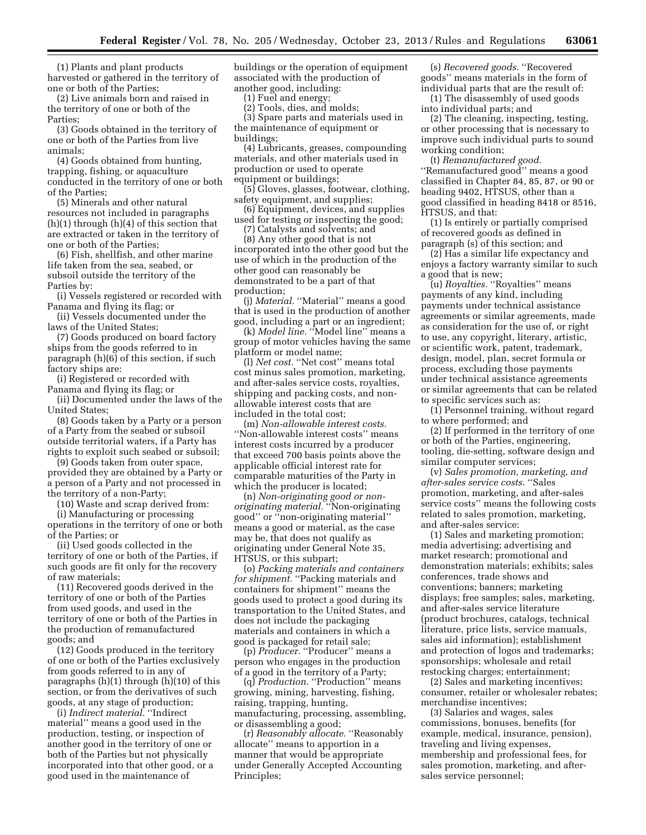(1) Plants and plant products harvested or gathered in the territory of one or both of the Parties;

(2) Live animals born and raised in the territory of one or both of the Parties;

(3) Goods obtained in the territory of one or both of the Parties from live animals;

(4) Goods obtained from hunting, trapping, fishing, or aquaculture conducted in the territory of one or both of the Parties;

(5) Minerals and other natural resources not included in paragraphs (h)(1) through (h)(4) of this section that are extracted or taken in the territory of one or both of the Parties;

(6) Fish, shellfish, and other marine life taken from the sea, seabed, or subsoil outside the territory of the Parties by:

(i) Vessels registered or recorded with Panama and flying its flag; or

(ii) Vessels documented under the laws of the United States;

(7) Goods produced on board factory ships from the goods referred to in paragraph (h)(6) of this section, if such factory ships are:

(i) Registered or recorded with Panama and flying its flag; or

(ii) Documented under the laws of the United States;

(8) Goods taken by a Party or a person of a Party from the seabed or subsoil outside territorial waters, if a Party has rights to exploit such seabed or subsoil;

(9) Goods taken from outer space, provided they are obtained by a Party or a person of a Party and not processed in the territory of a non-Party;

(10) Waste and scrap derived from:

(i) Manufacturing or processing operations in the territory of one or both of the Parties; or

(ii) Used goods collected in the territory of one or both of the Parties, if such goods are fit only for the recovery of raw materials;

(11) Recovered goods derived in the territory of one or both of the Parties from used goods, and used in the territory of one or both of the Parties in the production of remanufactured goods; and

(12) Goods produced in the territory of one or both of the Parties exclusively from goods referred to in any of paragraphs (h)(1) through (h)(10) of this section, or from the derivatives of such goods, at any stage of production;

(i) *Indirect material.* ''Indirect material'' means a good used in the production, testing, or inspection of another good in the territory of one or both of the Parties but not physically incorporated into that other good, or a good used in the maintenance of

buildings or the operation of equipment associated with the production of another good, including:

(1) Fuel and energy;

(2) Tools, dies, and molds;

(3) Spare parts and materials used in the maintenance of equipment or buildings;

(4) Lubricants, greases, compounding materials, and other materials used in production or used to operate equipment or buildings;

(5) Gloves, glasses, footwear, clothing, safety equipment, and supplies;

(6) Equipment, devices, and supplies used for testing or inspecting the good;

(7) Catalysts and solvents; and

(8) Any other good that is not incorporated into the other good but the use of which in the production of the other good can reasonably be demonstrated to be a part of that production;

(j) *Material.* "Material" means a good that is used in the production of another good, including a part or an ingredient;

(k) *Model line.* ''Model line'' means a group of motor vehicles having the same platform or model name;

(l) *Net cost.* ''Net cost'' means total cost minus sales promotion, marketing, and after-sales service costs, royalties, shipping and packing costs, and nonallowable interest costs that are included in the total cost;

(m) *Non-allowable interest costs.*  ''Non-allowable interest costs'' means interest costs incurred by a producer that exceed 700 basis points above the applicable official interest rate for comparable maturities of the Party in which the producer is located;

(n) *Non-originating good or nonoriginating material.* ''Non-originating good'' or ''non-originating material'' means a good or material, as the case may be, that does not qualify as originating under General Note 35, HTSUS, or this subpart;

(o) *Packing materials and containers*  for shipment. "Packing materials and containers for shipment'' means the goods used to protect a good during its transportation to the United States, and does not include the packaging materials and containers in which a good is packaged for retail sale;

(p) *Producer*. "Producer" means a person who engages in the production of a good in the territory of a Party;

(q) *Production.* ''Production'' means growing, mining, harvesting, fishing, raising, trapping, hunting, manufacturing, processing, assembling, or disassembling a good;

(r) *Reasonably allocate.* ''Reasonably allocate'' means to apportion in a manner that would be appropriate under Generally Accepted Accounting Principles;

(s) *Recovered goods.* ''Recovered goods'' means materials in the form of individual parts that are the result of:

(1) The disassembly of used goods into individual parts; and

(2) The cleaning, inspecting, testing, or other processing that is necessary to improve such individual parts to sound working condition;

(t) *Remanufactured good.*  ''Remanufactured good'' means a good classified in Chapter 84, 85, 87, or 90 or heading 9402, HTSUS, other than a good classified in heading 8418 or 8516, HTSUS, and that:

(1) Is entirely or partially comprised of recovered goods as defined in paragraph (s) of this section; and

(2) Has a similar life expectancy and enjoys a factory warranty similar to such a good that is new;

(u) *Royalties.* ''Royalties'' means payments of any kind, including payments under technical assistance agreements or similar agreements, made as consideration for the use of, or right to use, any copyright, literary, artistic, or scientific work, patent, trademark, design, model, plan, secret formula or process, excluding those payments under technical assistance agreements or similar agreements that can be related to specific services such as:

(1) Personnel training, without regard to where performed; and

(2) If performed in the territory of one or both of the Parties, engineering, tooling, die-setting, software design and similar computer services;

(v) *Sales promotion, marketing, and after-sales service costs.* ''Sales promotion, marketing, and after-sales service costs'' means the following costs related to sales promotion, marketing, and after-sales service:

(1) Sales and marketing promotion; media advertising; advertising and market research; promotional and demonstration materials; exhibits; sales conferences, trade shows and conventions; banners; marketing displays; free samples; sales, marketing, and after-sales service literature (product brochures, catalogs, technical literature, price lists, service manuals, sales aid information); establishment and protection of logos and trademarks; sponsorships; wholesale and retail restocking charges; entertainment;

(2) Sales and marketing incentives; consumer, retailer or wholesaler rebates; merchandise incentives;

(3) Salaries and wages, sales commissions, bonuses, benefits (for example, medical, insurance, pension), traveling and living expenses, membership and professional fees, for sales promotion, marketing, and aftersales service personnel;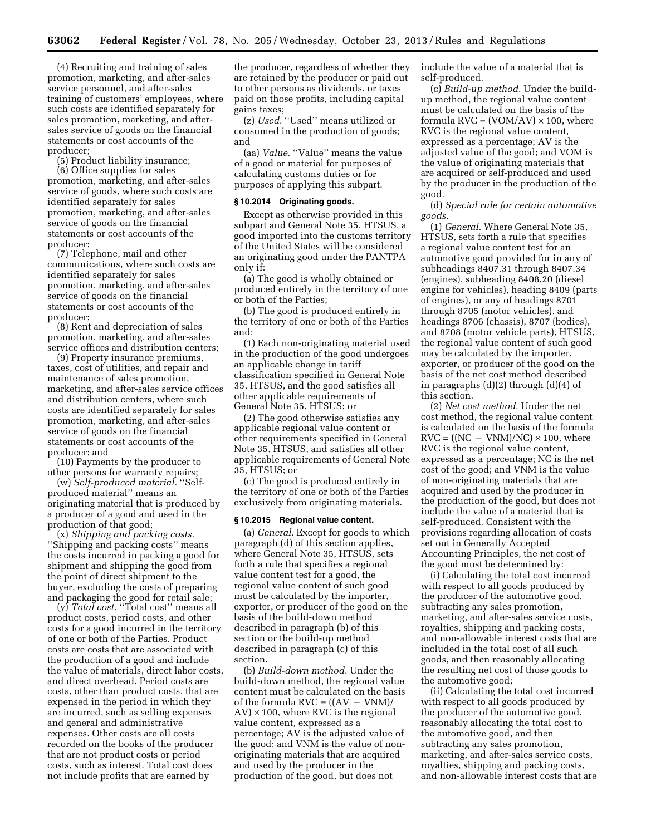(4) Recruiting and training of sales promotion, marketing, and after-sales service personnel, and after-sales training of customers' employees, where such costs are identified separately for sales promotion, marketing, and aftersales service of goods on the financial statements or cost accounts of the producer;

(5) Product liability insurance;

(6) Office supplies for sales promotion, marketing, and after-sales service of goods, where such costs are identified separately for sales promotion, marketing, and after-sales service of goods on the financial statements or cost accounts of the producer;

(7) Telephone, mail and other communications, where such costs are identified separately for sales promotion, marketing, and after-sales service of goods on the financial statements or cost accounts of the producer;

(8) Rent and depreciation of sales promotion, marketing, and after-sales service offices and distribution centers;

(9) Property insurance premiums, taxes, cost of utilities, and repair and maintenance of sales promotion, marketing, and after-sales service offices and distribution centers, where such costs are identified separately for sales promotion, marketing, and after-sales service of goods on the financial statements or cost accounts of the producer; and

(10) Payments by the producer to other persons for warranty repairs;

(w) *Self-produced material.* ''Selfproduced material'' means an originating material that is produced by a producer of a good and used in the production of that good;

(x) *Shipping and packing costs.*  ''Shipping and packing costs'' means the costs incurred in packing a good for shipment and shipping the good from the point of direct shipment to the buyer, excluding the costs of preparing and packaging the good for retail sale;

(y) *Total cost.* ''Total cost'' means all product costs, period costs, and other costs for a good incurred in the territory of one or both of the Parties. Product costs are costs that are associated with the production of a good and include the value of materials, direct labor costs, and direct overhead. Period costs are costs, other than product costs, that are expensed in the period in which they are incurred, such as selling expenses and general and administrative expenses. Other costs are all costs recorded on the books of the producer that are not product costs or period costs, such as interest. Total cost does not include profits that are earned by

the producer, regardless of whether they are retained by the producer or paid out to other persons as dividends, or taxes paid on those profits, including capital gains taxes;

(z) *Used.* ''Used'' means utilized or consumed in the production of goods; and

(aa) *Value.* "Value" means the value of a good or material for purposes of calculating customs duties or for purposes of applying this subpart.

#### **§ 10.2014 Originating goods.**

Except as otherwise provided in this subpart and General Note 35, HTSUS, a good imported into the customs territory of the United States will be considered an originating good under the PANTPA only if:

(a) The good is wholly obtained or produced entirely in the territory of one or both of the Parties;

(b) The good is produced entirely in the territory of one or both of the Parties and:

(1) Each non-originating material used in the production of the good undergoes an applicable change in tariff classification specified in General Note 35, HTSUS, and the good satisfies all other applicable requirements of General Note 35, HTSUS; or

(2) The good otherwise satisfies any applicable regional value content or other requirements specified in General Note 35, HTSUS, and satisfies all other applicable requirements of General Note 35, HTSUS; or

(c) The good is produced entirely in the territory of one or both of the Parties exclusively from originating materials.

# **§ 10.2015 Regional value content.**

(a) *General.* Except for goods to which paragraph (d) of this section applies, where General Note 35, HTSUS, sets forth a rule that specifies a regional value content test for a good, the regional value content of such good must be calculated by the importer, exporter, or producer of the good on the basis of the build-down method described in paragraph (b) of this section or the build-up method described in paragraph (c) of this section.

(b) *Build-down method.* Under the build-down method, the regional value content must be calculated on the basis of the formula  $\text{RVC} = ((\text{AV} - \text{VNM}))$  $AV$ )  $\times$  100, where RVC is the regional value content, expressed as a percentage; AV is the adjusted value of the good; and VNM is the value of nonoriginating materials that are acquired and used by the producer in the production of the good, but does not

include the value of a material that is self-produced.

(c) *Build-up method.* Under the buildup method, the regional value content must be calculated on the basis of the formula  $RVC = (VOM/AV) \times 100$ , where RVC is the regional value content, expressed as a percentage; AV is the adjusted value of the good; and VOM is the value of originating materials that are acquired or self-produced and used by the producer in the production of the good.

(d) *Special rule for certain automotive goods.* 

(1) *General.* Where General Note 35, HTSUS, sets forth a rule that specifies a regional value content test for an automotive good provided for in any of subheadings 8407.31 through 8407.34 (engines), subheading 8408.20 (diesel engine for vehicles), heading 8409 (parts of engines), or any of headings 8701 through 8705 (motor vehicles), and headings 8706 (chassis), 8707 (bodies), and 8708 (motor vehicle parts), HTSUS, the regional value content of such good may be calculated by the importer, exporter, or producer of the good on the basis of the net cost method described in paragraphs (d)(2) through (d)(4) of this section.

(2) *Net cost method.* Under the net cost method, the regional value content is calculated on the basis of the formula  $RVC = ((NC - VNM)/NC) \times 100$ , where RVC is the regional value content, expressed as a percentage; NC is the net cost of the good; and VNM is the value of non-originating materials that are acquired and used by the producer in the production of the good, but does not include the value of a material that is self-produced. Consistent with the provisions regarding allocation of costs set out in Generally Accepted Accounting Principles, the net cost of the good must be determined by:

(i) Calculating the total cost incurred with respect to all goods produced by the producer of the automotive good, subtracting any sales promotion, marketing, and after-sales service costs, royalties, shipping and packing costs, and non-allowable interest costs that are included in the total cost of all such goods, and then reasonably allocating the resulting net cost of those goods to the automotive good;

(ii) Calculating the total cost incurred with respect to all goods produced by the producer of the automotive good, reasonably allocating the total cost to the automotive good, and then subtracting any sales promotion, marketing, and after-sales service costs, royalties, shipping and packing costs, and non-allowable interest costs that are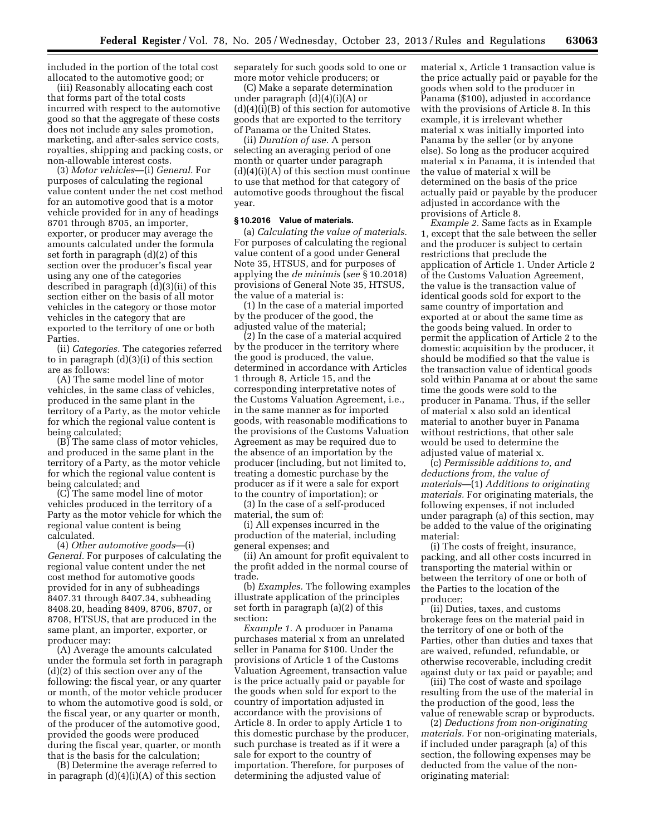included in the portion of the total cost allocated to the automotive good; or

(iii) Reasonably allocating each cost that forms part of the total costs incurred with respect to the automotive good so that the aggregate of these costs does not include any sales promotion, marketing, and after-sales service costs, royalties, shipping and packing costs, or non-allowable interest costs.

(3) *Motor vehicles*—(i) *General.* For purposes of calculating the regional value content under the net cost method for an automotive good that is a motor vehicle provided for in any of headings 8701 through 8705, an importer, exporter, or producer may average the amounts calculated under the formula set forth in paragraph (d)(2) of this section over the producer's fiscal year using any one of the categories described in paragraph (d)(3)(ii) of this section either on the basis of all motor vehicles in the category or those motor vehicles in the category that are exported to the territory of one or both Parties.

(ii) *Categories.* The categories referred to in paragraph (d)(3)(i) of this section are as follows:

(A) The same model line of motor vehicles, in the same class of vehicles, produced in the same plant in the territory of a Party, as the motor vehicle for which the regional value content is being calculated;

(B) The same class of motor vehicles, and produced in the same plant in the territory of a Party, as the motor vehicle for which the regional value content is being calculated; and

(C) The same model line of motor vehicles produced in the territory of a Party as the motor vehicle for which the regional value content is being calculated.

(4) *Other automotive goods*—(i) *General.* For purposes of calculating the regional value content under the net cost method for automotive goods provided for in any of subheadings 8407.31 through 8407.34, subheading 8408.20, heading 8409, 8706, 8707, or 8708, HTSUS, that are produced in the same plant, an importer, exporter, or producer may:

(A) Average the amounts calculated under the formula set forth in paragraph (d)(2) of this section over any of the following: the fiscal year, or any quarter or month, of the motor vehicle producer to whom the automotive good is sold, or the fiscal year, or any quarter or month, of the producer of the automotive good, provided the goods were produced during the fiscal year, quarter, or month that is the basis for the calculation;

(B) Determine the average referred to in paragraph  $(d)(4)(i)(A)$  of this section

separately for such goods sold to one or more motor vehicle producers; or

(C) Make a separate determination under paragraph (d)(4)(i)(A) or  $(d)(4)(i)(B)$  of this section for automotive goods that are exported to the territory of Panama or the United States.

(ii) *Duration of use.* A person selecting an averaging period of one month or quarter under paragraph  $(d)(4)(i)(A)$  of this section must continue to use that method for that category of automotive goods throughout the fiscal year.

### **§ 10.2016 Value of materials.**

(a) *Calculating the value of materials.*  For purposes of calculating the regional value content of a good under General Note 35, HTSUS, and for purposes of applying the *de minimis* (*see* § 10.2018) provisions of General Note 35, HTSUS, the value of a material is:

(1) In the case of a material imported by the producer of the good, the adjusted value of the material;

(2) In the case of a material acquired by the producer in the territory where the good is produced, the value, determined in accordance with Articles 1 through 8, Article 15, and the corresponding interpretative notes of the Customs Valuation Agreement, i.e., in the same manner as for imported goods, with reasonable modifications to the provisions of the Customs Valuation Agreement as may be required due to the absence of an importation by the producer (including, but not limited to, treating a domestic purchase by the producer as if it were a sale for export to the country of importation); or

(3) In the case of a self-produced material, the sum of:

(i) All expenses incurred in the production of the material, including general expenses; and

(ii) An amount for profit equivalent to the profit added in the normal course of trade.

(b) *Examples.* The following examples illustrate application of the principles set forth in paragraph (a)(2) of this section:

*Example 1.* A producer in Panama purchases material x from an unrelated seller in Panama for \$100. Under the provisions of Article 1 of the Customs Valuation Agreement, transaction value is the price actually paid or payable for the goods when sold for export to the country of importation adjusted in accordance with the provisions of Article 8. In order to apply Article 1 to this domestic purchase by the producer, such purchase is treated as if it were a sale for export to the country of importation. Therefore, for purposes of determining the adjusted value of

material x, Article 1 transaction value is the price actually paid or payable for the goods when sold to the producer in Panama (\$100), adjusted in accordance with the provisions of Article 8. In this example, it is irrelevant whether material x was initially imported into Panama by the seller (or by anyone else). So long as the producer acquired material x in Panama, it is intended that the value of material x will be determined on the basis of the price actually paid or payable by the producer adjusted in accordance with the provisions of Article 8.

*Example 2.* Same facts as in Example 1, except that the sale between the seller and the producer is subject to certain restrictions that preclude the application of Article 1. Under Article 2 of the Customs Valuation Agreement, the value is the transaction value of identical goods sold for export to the same country of importation and exported at or about the same time as the goods being valued. In order to permit the application of Article 2 to the domestic acquisition by the producer, it should be modified so that the value is the transaction value of identical goods sold within Panama at or about the same time the goods were sold to the producer in Panama. Thus, if the seller of material x also sold an identical material to another buyer in Panama without restrictions, that other sale would be used to determine the adjusted value of material x.

(c) *Permissible additions to, and deductions from, the value of materials*—(1) *Additions to originating materials.* For originating materials, the following expenses, if not included under paragraph (a) of this section, may be added to the value of the originating material:

(i) The costs of freight, insurance, packing, and all other costs incurred in transporting the material within or between the territory of one or both of the Parties to the location of the producer;

(ii) Duties, taxes, and customs brokerage fees on the material paid in the territory of one or both of the Parties, other than duties and taxes that are waived, refunded, refundable, or otherwise recoverable, including credit against duty or tax paid or payable; and

(iii) The cost of waste and spoilage resulting from the use of the material in the production of the good, less the value of renewable scrap or byproducts.

(2) *Deductions from non-originating materials.* For non-originating materials, if included under paragraph (a) of this section, the following expenses may be deducted from the value of the nonoriginating material: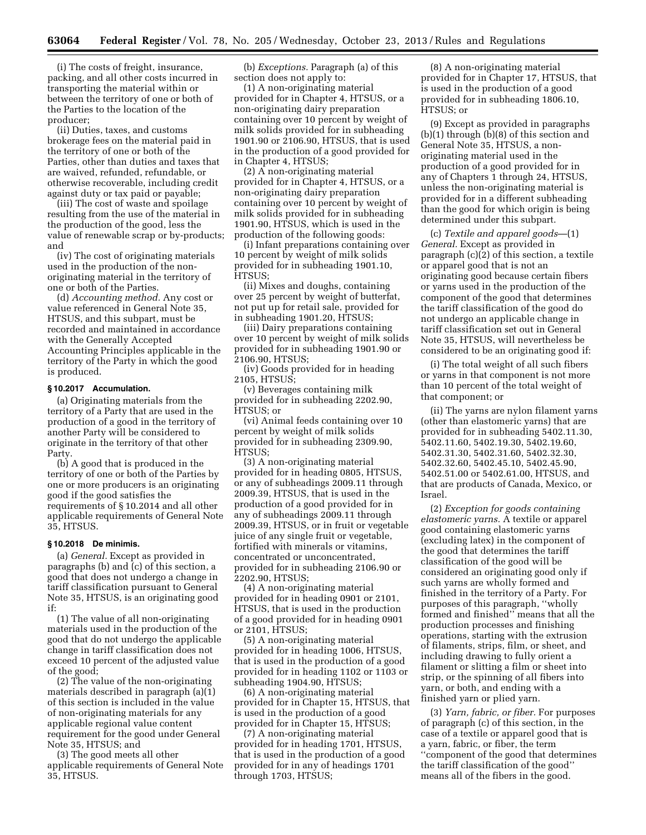(i) The costs of freight, insurance, packing, and all other costs incurred in transporting the material within or between the territory of one or both of the Parties to the location of the producer;

(ii) Duties, taxes, and customs brokerage fees on the material paid in the territory of one or both of the Parties, other than duties and taxes that are waived, refunded, refundable, or otherwise recoverable, including credit against duty or tax paid or payable;

(iii) The cost of waste and spoilage resulting from the use of the material in the production of the good, less the value of renewable scrap or by-products; and

(iv) The cost of originating materials used in the production of the nonoriginating material in the territory of one or both of the Parties.

(d) *Accounting method.* Any cost or value referenced in General Note 35, HTSUS, and this subpart, must be recorded and maintained in accordance with the Generally Accepted Accounting Principles applicable in the territory of the Party in which the good is produced.

### **§ 10.2017 Accumulation.**

(a) Originating materials from the territory of a Party that are used in the production of a good in the territory of another Party will be considered to originate in the territory of that other Party.

(b) A good that is produced in the territory of one or both of the Parties by one or more producers is an originating good if the good satisfies the requirements of § 10.2014 and all other applicable requirements of General Note 35, HTSUS.

### **§ 10.2018 De minimis.**

(a) *General.* Except as provided in paragraphs (b) and (c) of this section, a good that does not undergo a change in tariff classification pursuant to General Note 35, HTSUS, is an originating good if:

(1) The value of all non-originating materials used in the production of the good that do not undergo the applicable change in tariff classification does not exceed 10 percent of the adjusted value of the good;

(2) The value of the non-originating materials described in paragraph (a)(1) of this section is included in the value of non-originating materials for any applicable regional value content requirement for the good under General Note 35, HTSUS; and

(3) The good meets all other applicable requirements of General Note 35, HTSUS.

(b) *Exceptions.* Paragraph (a) of this section does not apply to:

(1) A non-originating material provided for in Chapter 4, HTSUS, or a non-originating dairy preparation containing over 10 percent by weight of milk solids provided for in subheading 1901.90 or 2106.90, HTSUS, that is used in the production of a good provided for in Chapter 4, HTSUS;

(2) A non-originating material provided for in Chapter 4, HTSUS, or a non-originating dairy preparation containing over 10 percent by weight of milk solids provided for in subheading 1901.90, HTSUS, which is used in the production of the following goods:

(i) Infant preparations containing over 10 percent by weight of milk solids provided for in subheading 1901.10, HTSUS<sup>.</sup>

(ii) Mixes and doughs, containing over 25 percent by weight of butterfat, not put up for retail sale, provided for in subheading 1901.20, HTSUS;

(iii) Dairy preparations containing over 10 percent by weight of milk solids provided for in subheading 1901.90 or 2106.90, HTSUS;

(iv) Goods provided for in heading 2105, HTSUS;

(v) Beverages containing milk provided for in subheading 2202.90, HTSUS; or

(vi) Animal feeds containing over 10 percent by weight of milk solids provided for in subheading 2309.90, HTSUS;

(3) A non-originating material provided for in heading 0805, HTSUS, or any of subheadings 2009.11 through 2009.39, HTSUS, that is used in the production of a good provided for in any of subheadings 2009.11 through 2009.39, HTSUS, or in fruit or vegetable juice of any single fruit or vegetable, fortified with minerals or vitamins, concentrated or unconcentrated, provided for in subheading 2106.90 or 2202.90, HTSUS;

(4) A non-originating material provided for in heading 0901 or 2101, HTSUS, that is used in the production of a good provided for in heading 0901 or 2101, HTSUS;

(5) A non-originating material provided for in heading 1006, HTSUS, that is used in the production of a good provided for in heading 1102 or 1103 or subheading 1904.90, HTSUS;

(6) A non-originating material provided for in Chapter 15, HTSUS, that is used in the production of a good provided for in Chapter 15, HTSUS;

(7) A non-originating material provided for in heading 1701, HTSUS, that is used in the production of a good provided for in any of headings 1701 through 1703, HTSUS;

(8) A non-originating material provided for in Chapter 17, HTSUS, that is used in the production of a good provided for in subheading 1806.10, HTSUS; or

(9) Except as provided in paragraphs (b)(1) through (b)(8) of this section and General Note 35, HTSUS, a nonoriginating material used in the production of a good provided for in any of Chapters 1 through 24, HTSUS, unless the non-originating material is provided for in a different subheading than the good for which origin is being determined under this subpart.

(c) *Textile and apparel goods*—(1) *General.* Except as provided in paragraph (c)(2) of this section, a textile or apparel good that is not an originating good because certain fibers or yarns used in the production of the component of the good that determines the tariff classification of the good do not undergo an applicable change in tariff classification set out in General Note 35, HTSUS, will nevertheless be considered to be an originating good if:

(i) The total weight of all such fibers or yarns in that component is not more than 10 percent of the total weight of that component; or

(ii) The yarns are nylon filament yarns (other than elastomeric yarns) that are provided for in subheading 5402.11.30, 5402.11.60, 5402.19.30, 5402.19.60, 5402.31.30, 5402.31.60, 5402.32.30, 5402.32.60, 5402.45.10, 5402.45.90, 5402.51.00 or 5402.61.00, HTSUS, and that are products of Canada, Mexico, or Israel.

(2) *Exception for goods containing elastomeric yarns.* A textile or apparel good containing elastomeric yarns (excluding latex) in the component of the good that determines the tariff classification of the good will be considered an originating good only if such yarns are wholly formed and finished in the territory of a Party. For purposes of this paragraph, ''wholly formed and finished'' means that all the production processes and finishing operations, starting with the extrusion of filaments, strips, film, or sheet, and including drawing to fully orient a filament or slitting a film or sheet into strip, or the spinning of all fibers into yarn, or both, and ending with a finished yarn or plied yarn.

(3) *Yarn, fabric, or fiber.* For purposes of paragraph (c) of this section, in the case of a textile or apparel good that is a yarn, fabric, or fiber, the term ''component of the good that determines the tariff classification of the good'' means all of the fibers in the good.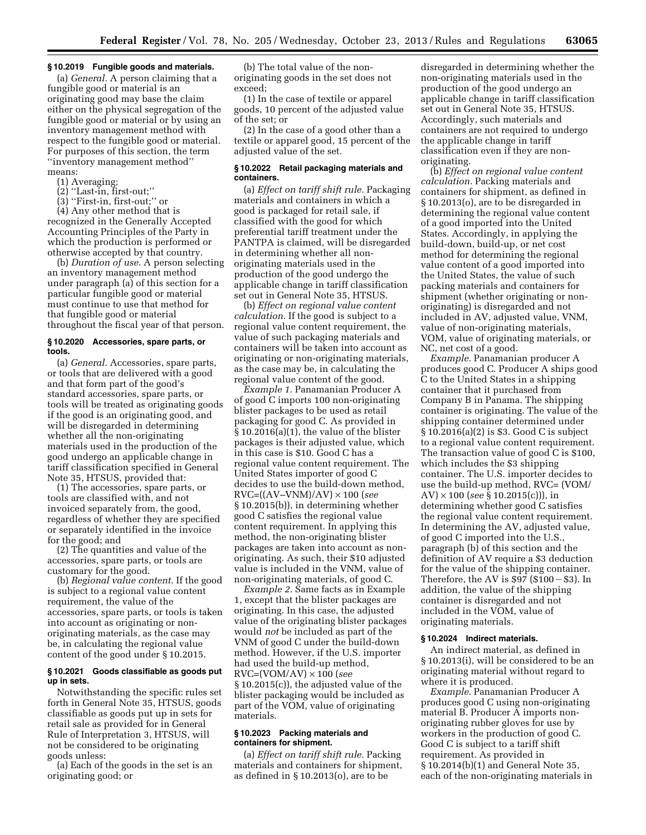# **§ 10.2019 Fungible goods and materials.**

(a) *General.* A person claiming that a fungible good or material is an originating good may base the claim either on the physical segregation of the fungible good or material or by using an inventory management method with respect to the fungible good or material. For purposes of this section, the term ''inventory management method'' means:

- (1) Averaging;
- (2) ''Last-in, first-out;''
- (3) ''First-in, first-out;'' or

(4) Any other method that is recognized in the Generally Accepted Accounting Principles of the Party in which the production is performed or otherwise accepted by that country.

(b) *Duration of use.* A person selecting an inventory management method under paragraph (a) of this section for a particular fungible good or material must continue to use that method for that fungible good or material throughout the fiscal year of that person.

# **§ 10.2020 Accessories, spare parts, or tools.**

(a) *General.* Accessories, spare parts, or tools that are delivered with a good and that form part of the good's standard accessories, spare parts, or tools will be treated as originating goods if the good is an originating good, and will be disregarded in determining whether all the non-originating materials used in the production of the good undergo an applicable change in tariff classification specified in General Note 35, HTSUS, provided that:

(1) The accessories, spare parts, or tools are classified with, and not invoiced separately from, the good, regardless of whether they are specified or separately identified in the invoice for the good; and

(2) The quantities and value of the accessories, spare parts, or tools are customary for the good.

(b) *Regional value content.* If the good is subject to a regional value content requirement, the value of the accessories, spare parts, or tools is taken into account as originating or nonoriginating materials, as the case may be, in calculating the regional value content of the good under § 10.2015.

# **§ 10.2021 Goods classifiable as goods put up in sets.**

Notwithstanding the specific rules set forth in General Note 35, HTSUS, goods classifiable as goods put up in sets for retail sale as provided for in General Rule of Interpretation 3, HTSUS, will not be considered to be originating goods unless:

(a) Each of the goods in the set is an originating good; or

(b) The total value of the nonoriginating goods in the set does not exceed;

(1) In the case of textile or apparel goods, 10 percent of the adjusted value of the set; or

(2) In the case of a good other than a textile or apparel good, 15 percent of the adjusted value of the set.

### **§ 10.2022 Retail packaging materials and containers.**

(a) *Effect on tariff shift rule.* Packaging materials and containers in which a good is packaged for retail sale, if classified with the good for which preferential tariff treatment under the PANTPA is claimed, will be disregarded in determining whether all nonoriginating materials used in the production of the good undergo the applicable change in tariff classification set out in General Note 35, HTSUS.

(b) *Effect on regional value content calculation.* If the good is subject to a regional value content requirement, the value of such packaging materials and containers will be taken into account as originating or non-originating materials, as the case may be, in calculating the regional value content of the good.

*Example 1.* Panamanian Producer A of good C imports 100 non-originating blister packages to be used as retail packaging for good C. As provided in § 10.2016(a)(1), the value of the blister packages is their adjusted value, which in this case is \$10. Good C has a regional value content requirement. The United States importer of good C decides to use the build-down method, RVC=((AV–VNM)/AV) × 100 (*see*  § 10.2015(b)), in determining whether good C satisfies the regional value content requirement. In applying this method, the non-originating blister packages are taken into account as nonoriginating. As such, their \$10 adjusted value is included in the VNM, value of non-originating materials, of good C.

*Example 2.* Same facts as in Example 1, except that the blister packages are originating. In this case, the adjusted value of the originating blister packages would *not* be included as part of the VNM of good C under the build-down method. However, if the U.S. importer had used the build-up method, RVC=(VOM/AV) × 100 (*see*  § 10.2015(c)), the adjusted value of the blister packaging would be included as part of the VOM, value of originating materials.

### **§ 10.2023 Packing materials and containers for shipment.**

(a) *Effect on tariff shift rule.* Packing materials and containers for shipment, as defined in § 10.2013(o), are to be

disregarded in determining whether the non-originating materials used in the production of the good undergo an applicable change in tariff classification set out in General Note 35, HTSUS. Accordingly, such materials and containers are not required to undergo the applicable change in tariff classification even if they are nonoriginating.

(b) *Effect on regional value content calculation.* Packing materials and containers for shipment, as defined in § 10.2013(o), are to be disregarded in determining the regional value content of a good imported into the United States. Accordingly, in applying the build-down, build-up, or net cost method for determining the regional value content of a good imported into the United States, the value of such packing materials and containers for shipment (whether originating or nonoriginating) is disregarded and not included in AV, adjusted value, VNM, value of non-originating materials, VOM, value of originating materials, or NC, net cost of a good.

*Example.* Panamanian producer A produces good C. Producer A ships good C to the United States in a shipping container that it purchased from Company B in Panama. The shipping container is originating. The value of the shipping container determined under § 10.2016(a)(2) is \$3. Good C is subject to a regional value content requirement. The transaction value of good C is \$100, which includes the \$3 shipping container. The U.S. importer decides to use the build-up method, RVC= (VOM/ AV) × 100 (*see* § 10.2015(c))), in determining whether good C satisfies the regional value content requirement. In determining the AV, adjusted value, of good C imported into the U.S., paragraph (b) of this section and the definition of AV require a \$3 deduction for the value of the shipping container. Therefore, the AV is  $$97$  ( $$100 - $3$ ). In addition, the value of the shipping container is disregarded and not included in the VOM, value of originating materials.

# **§ 10.2024 Indirect materials.**

An indirect material, as defined in § 10.2013(i), will be considered to be an originating material without regard to where it is produced.

*Example.* Panamanian Producer A produces good C using non-originating material B. Producer A imports nonoriginating rubber gloves for use by workers in the production of good C. Good C is subject to a tariff shift requirement. As provided in § 10.2014(b)(1) and General Note 35, each of the non-originating materials in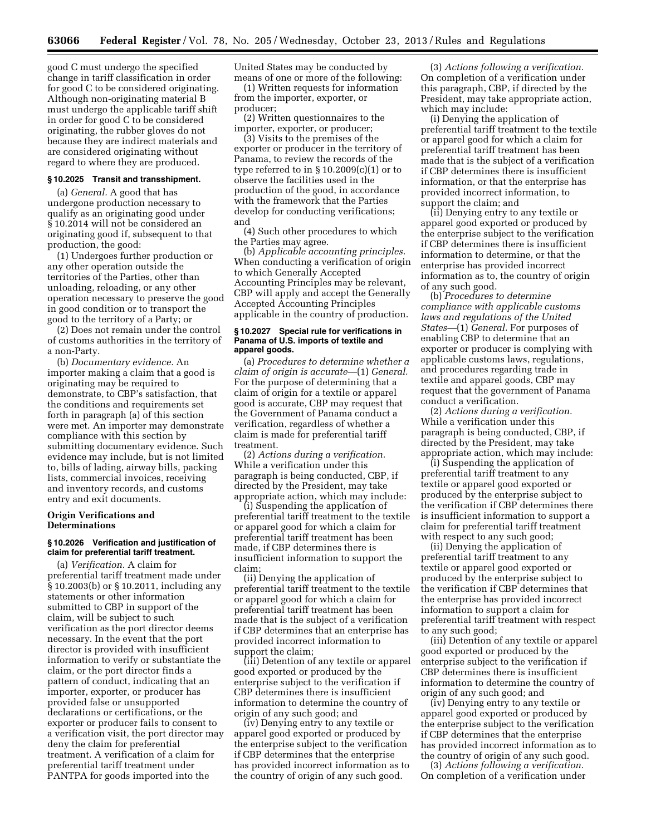good C must undergo the specified change in tariff classification in order for good C to be considered originating. Although non-originating material B must undergo the applicable tariff shift in order for good C to be considered originating, the rubber gloves do not because they are indirect materials and are considered originating without regard to where they are produced.

#### **§ 10.2025 Transit and transshipment.**

(a) *General.* A good that has undergone production necessary to qualify as an originating good under § 10.2014 will not be considered an originating good if, subsequent to that production, the good:

(1) Undergoes further production or any other operation outside the territories of the Parties, other than unloading, reloading, or any other operation necessary to preserve the good in good condition or to transport the good to the territory of a Party; or

(2) Does not remain under the control of customs authorities in the territory of a non-Party.

(b) *Documentary evidence.* An importer making a claim that a good is originating may be required to demonstrate, to CBP's satisfaction, that the conditions and requirements set forth in paragraph (a) of this section were met. An importer may demonstrate compliance with this section by submitting documentary evidence. Such evidence may include, but is not limited to, bills of lading, airway bills, packing lists, commercial invoices, receiving and inventory records, and customs entry and exit documents.

# **Origin Verifications and Determinations**

# **§ 10.2026 Verification and justification of claim for preferential tariff treatment.**

(a) *Verification.* A claim for preferential tariff treatment made under § 10.2003(b) or § 10.2011, including any statements or other information submitted to CBP in support of the claim, will be subject to such verification as the port director deems necessary. In the event that the port director is provided with insufficient information to verify or substantiate the claim, or the port director finds a pattern of conduct, indicating that an importer, exporter, or producer has provided false or unsupported declarations or certifications, or the exporter or producer fails to consent to a verification visit, the port director may deny the claim for preferential treatment. A verification of a claim for preferential tariff treatment under PANTPA for goods imported into the

United States may be conducted by means of one or more of the following:

(1) Written requests for information from the importer, exporter, or producer;

(2) Written questionnaires to the importer, exporter, or producer;

(3) Visits to the premises of the exporter or producer in the territory of Panama, to review the records of the type referred to in  $\S 10.2009(c)(1)$  or to observe the facilities used in the production of the good, in accordance with the framework that the Parties develop for conducting verifications; and

(4) Such other procedures to which the Parties may agree.

(b) *Applicable accounting principles.*  When conducting a verification of origin to which Generally Accepted Accounting Principles may be relevant, CBP will apply and accept the Generally Accepted Accounting Principles applicable in the country of production.

#### **§ 10.2027 Special rule for verifications in Panama of U.S. imports of textile and apparel goods.**

(a) *Procedures to determine whether a claim of origin is accurate*—(1) *General.*  For the purpose of determining that a claim of origin for a textile or apparel good is accurate, CBP may request that the Government of Panama conduct a verification, regardless of whether a claim is made for preferential tariff treatment.

(2) *Actions during a verification.*  While a verification under this paragraph is being conducted, CBP, if directed by the President, may take appropriate action, which may include:

(i) Suspending the application of preferential tariff treatment to the textile or apparel good for which a claim for preferential tariff treatment has been made, if CBP determines there is insufficient information to support the claim;

(ii) Denying the application of preferential tariff treatment to the textile or apparel good for which a claim for preferential tariff treatment has been made that is the subject of a verification if CBP determines that an enterprise has provided incorrect information to support the claim;

(iii) Detention of any textile or apparel good exported or produced by the enterprise subject to the verification if CBP determines there is insufficient information to determine the country of origin of any such good; and

(iv) Denying entry to any textile or apparel good exported or produced by the enterprise subject to the verification if CBP determines that the enterprise has provided incorrect information as to the country of origin of any such good.

(3) *Actions following a verification.*  On completion of a verification under this paragraph, CBP, if directed by the President, may take appropriate action, which may include:

(i) Denying the application of preferential tariff treatment to the textile or apparel good for which a claim for preferential tariff treatment has been made that is the subject of a verification if CBP determines there is insufficient information, or that the enterprise has provided incorrect information, to support the claim; and

(ii) Denying entry to any textile or apparel good exported or produced by the enterprise subject to the verification if CBP determines there is insufficient information to determine, or that the enterprise has provided incorrect information as to, the country of origin of any such good.

(b) *Procedures to determine compliance with applicable customs laws and regulations of the United States—*(1) *General.* For purposes of enabling CBP to determine that an exporter or producer is complying with applicable customs laws, regulations, and procedures regarding trade in textile and apparel goods, CBP may request that the government of Panama conduct a verification.

(2) *Actions during a verification.*  While a verification under this paragraph is being conducted, CBP, if directed by the President, may take appropriate action, which may include:

(i) Suspending the application of preferential tariff treatment to any textile or apparel good exported or produced by the enterprise subject to the verification if CBP determines there is insufficient information to support a claim for preferential tariff treatment with respect to any such good;

(ii) Denying the application of preferential tariff treatment to any textile or apparel good exported or produced by the enterprise subject to the verification if CBP determines that the enterprise has provided incorrect information to support a claim for preferential tariff treatment with respect to any such good;

(iii) Detention of any textile or apparel good exported or produced by the enterprise subject to the verification if CBP determines there is insufficient information to determine the country of origin of any such good; and

(iv) Denying entry to any textile or apparel good exported or produced by the enterprise subject to the verification if CBP determines that the enterprise has provided incorrect information as to the country of origin of any such good.

(3) *Actions following a verification.*  On completion of a verification under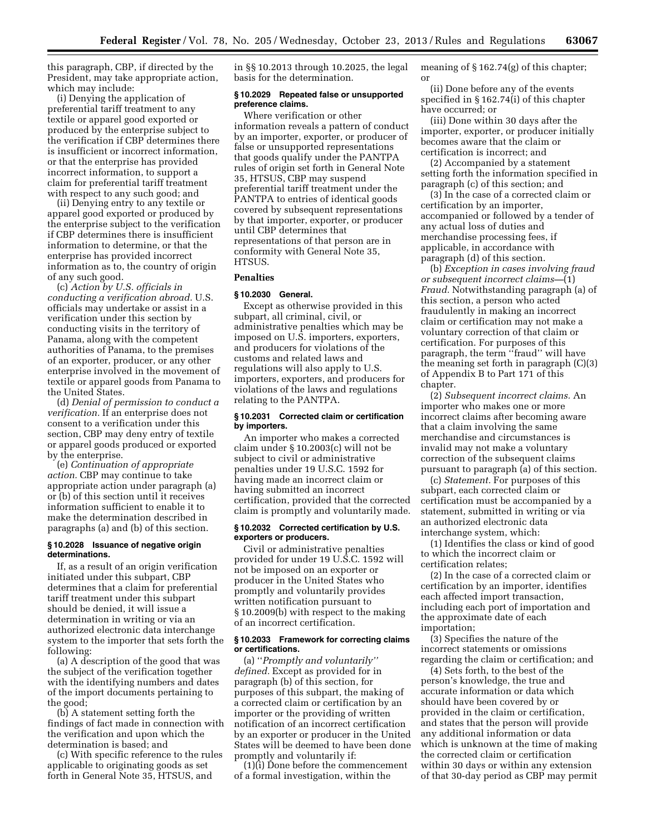this paragraph, CBP, if directed by the President, may take appropriate action, which may include:

(i) Denying the application of preferential tariff treatment to any textile or apparel good exported or produced by the enterprise subject to the verification if CBP determines there is insufficient or incorrect information, or that the enterprise has provided incorrect information, to support a claim for preferential tariff treatment with respect to any such good; and

(ii) Denying entry to any textile or apparel good exported or produced by the enterprise subject to the verification if CBP determines there is insufficient information to determine, or that the enterprise has provided incorrect information as to, the country of origin of any such good.

(c) *Action by U.S. officials in conducting a verification abroad.* U.S. officials may undertake or assist in a verification under this section by conducting visits in the territory of Panama, along with the competent authorities of Panama, to the premises of an exporter, producer, or any other enterprise involved in the movement of textile or apparel goods from Panama to the United States.

(d) *Denial of permission to conduct a verification.* If an enterprise does not consent to a verification under this section, CBP may deny entry of textile or apparel goods produced or exported by the enterprise.

(e) *Continuation of appropriate action.* CBP may continue to take appropriate action under paragraph (a) or (b) of this section until it receives information sufficient to enable it to make the determination described in paragraphs (a) and (b) of this section.

### **§ 10.2028 Issuance of negative origin determinations.**

If, as a result of an origin verification initiated under this subpart, CBP determines that a claim for preferential tariff treatment under this subpart should be denied, it will issue a determination in writing or via an authorized electronic data interchange system to the importer that sets forth the following:

(a) A description of the good that was the subject of the verification together with the identifying numbers and dates of the import documents pertaining to the good;

(b) A statement setting forth the findings of fact made in connection with the verification and upon which the determination is based; and

(c) With specific reference to the rules applicable to originating goods as set forth in General Note 35, HTSUS, and

in §§ 10.2013 through 10.2025, the legal basis for the determination.

# **§ 10.2029 Repeated false or unsupported preference claims.**

Where verification or other information reveals a pattern of conduct by an importer, exporter, or producer of false or unsupported representations that goods qualify under the PANTPA rules of origin set forth in General Note 35, HTSUS, CBP may suspend preferential tariff treatment under the PANTPA to entries of identical goods covered by subsequent representations by that importer, exporter, or producer until CBP determines that representations of that person are in conformity with General Note 35, HTSUS.

# **Penalties**

# **§ 10.2030 General.**

Except as otherwise provided in this subpart, all criminal, civil, or administrative penalties which may be imposed on U.S. importers, exporters, and producers for violations of the customs and related laws and regulations will also apply to U.S. importers, exporters, and producers for violations of the laws and regulations relating to the PANTPA.

# **§ 10.2031 Corrected claim or certification by importers.**

An importer who makes a corrected claim under § 10.2003(c) will not be subject to civil or administrative penalties under 19 U.S.C. 1592 for having made an incorrect claim or having submitted an incorrect certification, provided that the corrected claim is promptly and voluntarily made.

### **§ 10.2032 Corrected certification by U.S. exporters or producers.**

Civil or administrative penalties provided for under 19 U.S.C. 1592 will not be imposed on an exporter or producer in the United States who promptly and voluntarily provides written notification pursuant to § 10.2009(b) with respect to the making of an incorrect certification.

# **§ 10.2033 Framework for correcting claims or certifications.**

(a) ''*Promptly and voluntarily'' defined.* Except as provided for in paragraph (b) of this section, for purposes of this subpart, the making of a corrected claim or certification by an importer or the providing of written notification of an incorrect certification by an exporter or producer in the United States will be deemed to have been done promptly and voluntarily if:

(1)(i) Done before the commencement of a formal investigation, within the

meaning of § 162.74(g) of this chapter; or

(ii) Done before any of the events specified in § 162.74(i) of this chapter have occurred; or

(iii) Done within 30 days after the importer, exporter, or producer initially becomes aware that the claim or certification is incorrect; and

(2) Accompanied by a statement setting forth the information specified in paragraph (c) of this section; and

(3) In the case of a corrected claim or certification by an importer, accompanied or followed by a tender of any actual loss of duties and merchandise processing fees, if applicable, in accordance with paragraph (d) of this section.

(b) *Exception in cases involving fraud or subsequent incorrect claims—*(1) *Fraud.* Notwithstanding paragraph (a) of this section, a person who acted fraudulently in making an incorrect claim or certification may not make a voluntary correction of that claim or certification. For purposes of this paragraph, the term ''fraud'' will have the meaning set forth in paragraph (C)(3) of Appendix B to Part 171 of this chapter.

(2) *Subsequent incorrect claims.* An importer who makes one or more incorrect claims after becoming aware that a claim involving the same merchandise and circumstances is invalid may not make a voluntary correction of the subsequent claims pursuant to paragraph (a) of this section.

(c) *Statement.* For purposes of this subpart, each corrected claim or certification must be accompanied by a statement, submitted in writing or via an authorized electronic data interchange system, which:

(1) Identifies the class or kind of good to which the incorrect claim or certification relates;

(2) In the case of a corrected claim or certification by an importer, identifies each affected import transaction, including each port of importation and the approximate date of each importation;

(3) Specifies the nature of the incorrect statements or omissions regarding the claim or certification; and

(4) Sets forth, to the best of the person's knowledge, the true and accurate information or data which should have been covered by or provided in the claim or certification, and states that the person will provide any additional information or data which is unknown at the time of making the corrected claim or certification within 30 days or within any extension of that 30-day period as CBP may permit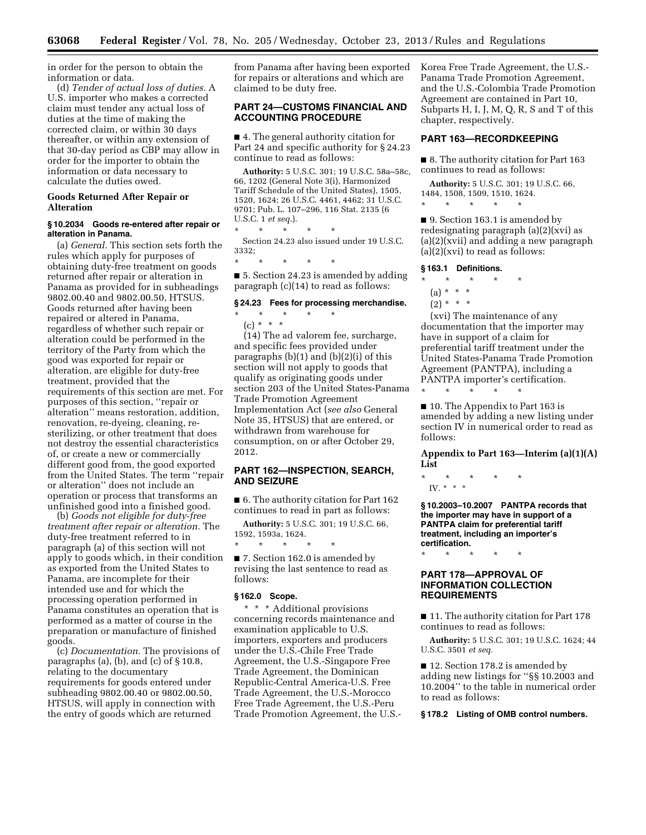in order for the person to obtain the information or data.

(d) *Tender of actual loss of duties.* A U.S. importer who makes a corrected claim must tender any actual loss of duties at the time of making the corrected claim, or within 30 days thereafter, or within any extension of that 30-day period as CBP may allow in order for the importer to obtain the information or data necessary to calculate the duties owed.

# **Goods Returned After Repair or Alteration**

### **§ 10.2034 Goods re-entered after repair or alteration in Panama.**

(a) *General.* This section sets forth the rules which apply for purposes of obtaining duty-free treatment on goods returned after repair or alteration in Panama as provided for in subheadings 9802.00.40 and 9802.00.50, HTSUS. Goods returned after having been repaired or altered in Panama, regardless of whether such repair or alteration could be performed in the territory of the Party from which the good was exported for repair or alteration, are eligible for duty-free treatment, provided that the requirements of this section are met. For purposes of this section, ''repair or alteration'' means restoration, addition, renovation, re-dyeing, cleaning, resterilizing, or other treatment that does not destroy the essential characteristics of, or create a new or commercially different good from, the good exported from the United States. The term ''repair or alteration'' does not include an operation or process that transforms an unfinished good into a finished good.

(b) *Goods not eligible for duty-free treatment after repair or alteration.* The duty-free treatment referred to in paragraph (a) of this section will not apply to goods which, in their condition as exported from the United States to Panama, are incomplete for their intended use and for which the processing operation performed in Panama constitutes an operation that is performed as a matter of course in the preparation or manufacture of finished goods.

(c) *Documentation.* The provisions of paragraphs (a), (b), and (c) of  $\S 10.8$ , relating to the documentary requirements for goods entered under subheading 9802.00.40 or 9802.00.50, HTSUS, will apply in connection with the entry of goods which are returned

from Panama after having been exported for repairs or alterations and which are claimed to be duty free.

# **PART 24—CUSTOMS FINANCIAL AND ACCOUNTING PROCEDURE**

■ 4. The general authority citation for Part 24 and specific authority for § 24.23 continue to read as follows:

**Authority:** 5 U.S.C. 301; 19 U.S.C. 58a–58c, 66, 1202 (General Note 3(i), Harmonized Tariff Schedule of the United States), 1505, 1520, 1624; 26 U.S.C. 4461, 4462; 31 U.S.C. 9701; Pub. L. 107–296, 116 Stat. 2135 (6 U.S.C. 1 *et seq.*). \* \* \* \* \*

Section 24.23 also issued under 19 U.S.C. 3332;

■ 5. Section 24.23 is amended by adding paragraph (c)(14) to read as follows:

### **§ 24.23 Fees for processing merchandise.**

\* \* \* \* \* (c) \* \* \*

\* \* \* \* \*

(14) The ad valorem fee, surcharge, and specific fees provided under paragraphs (b)(1) and (b)(2)(i) of this section will not apply to goods that qualify as originating goods under section 203 of the United States-Panama Trade Promotion Agreement Implementation Act (*see also* General Note 35, HTSUS) that are entered, or withdrawn from warehouse for consumption, on or after October 29, 2012.

# **PART 162—INSPECTION, SEARCH, AND SEIZURE**

■ 6. The authority citation for Part 162 continues to read in part as follows:

**Authority:** 5 U.S.C. 301; 19 U.S.C. 66, 1592, 1593a, 1624.

■ 7. Section 162.0 is amended by revising the last sentence to read as follows:

# **§ 162.0 Scope.**

\* \* \* \* \*

\* \* \* Additional provisions concerning records maintenance and examination applicable to U.S. importers, exporters and producers under the U.S.-Chile Free Trade Agreement, the U.S.-Singapore Free Trade Agreement, the Dominican Republic-Central America-U.S. Free Trade Agreement, the U.S.-Morocco Free Trade Agreement, the U.S.-Peru Trade Promotion Agreement, the U.S.- Korea Free Trade Agreement, the U.S.- Panama Trade Promotion Agreement, and the U.S.-Colombia Trade Promotion Agreement are contained in Part 10, Subparts H, I, J, M, Q, R, S and T of this chapter, respectively.

# **PART 163—RECORDKEEPING**

■ 8. The authority citation for Part 163 continues to read as follows:

**Authority:** 5 U.S.C. 301; 19 U.S.C. 66, 1484, 1508, 1509, 1510, 1624. \* \* \* \* \*

■ 9. Section 163.1 is amended by redesignating paragraph (a)(2)(xvi) as (a)(2)(xvii) and adding a new paragraph  $(a)(2)(xvi)$  to read as follows:

# **§ 163.1 Definitions.**

- \* \* \* \* \*
- (a) \* \* \*

# $(2) * * * *$

(xvi) The maintenance of any documentation that the importer may have in support of a claim for preferential tariff treatment under the United States-Panama Trade Promotion Agreement (PANTPA), including a PANTPA importer's certification.

■ 10. The Appendix to Part 163 is amended by adding a new listing under section IV in numerical order to read as follows:

**Appendix to Part 163—Interim (a)(1)(A) List** 

\* \* \* \* \* IV. \* \* \*

\* \* \* \* \*

**§ 10.2003–10.2007 PANTPA records that the importer may have in support of a PANTPA claim for preferential tariff treatment, including an importer's certification.** 

\* \* \* \* \*

# **PART 178—APPROVAL OF INFORMATION COLLECTION REQUIREMENTS**

■ 11. The authority citation for Part 178 continues to read as follows:

**Authority:** 5 U.S.C. 301; 19 U.S.C. 1624; 44 U.S.C. 3501 *et seq.* 

■ 12. Section 178.2 is amended by adding new listings for ''§§ 10.2003 and 10.2004'' to the table in numerical order to read as follows:

### **§ 178.2 Listing of OMB control numbers.**